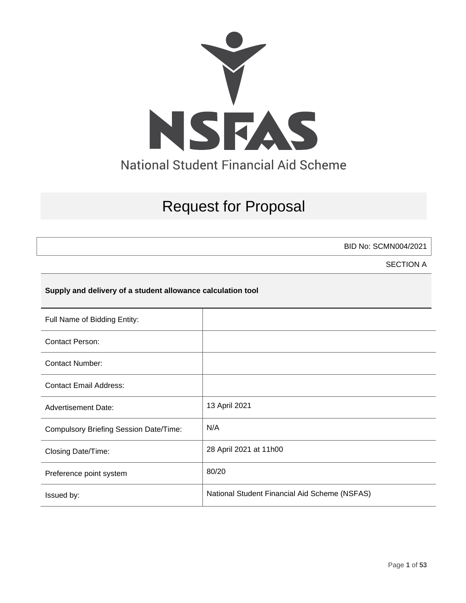

# Request for Proposal

BID No: SCMN004/2021

SECTION A

### **Supply and delivery of a student allowance calculation tool**

| Full Name of Bidding Entity:                  |                                               |
|-----------------------------------------------|-----------------------------------------------|
| <b>Contact Person:</b>                        |                                               |
| <b>Contact Number:</b>                        |                                               |
| <b>Contact Email Address:</b>                 |                                               |
| <b>Advertisement Date:</b>                    | 13 April 2021                                 |
| <b>Compulsory Briefing Session Date/Time:</b> | N/A                                           |
| Closing Date/Time:                            | 28 April 2021 at 11h00                        |
| Preference point system                       | 80/20                                         |
| Issued by:                                    | National Student Financial Aid Scheme (NSFAS) |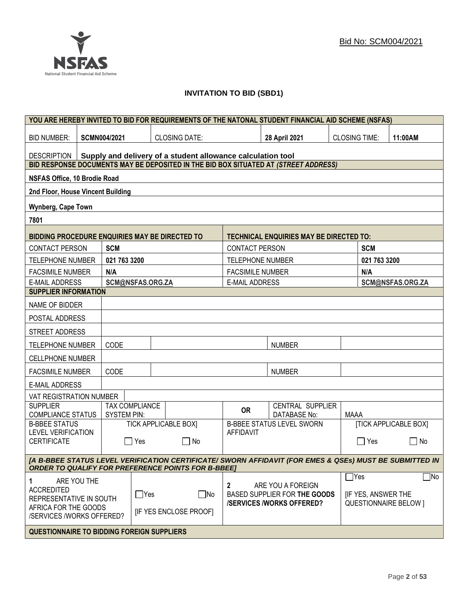

### **INVITATION TO BID (SBD1)**

|                                                   |             |                     |                       |                                                             |                         | YOU ARE HEREBY INVITED TO BID FOR REQUIREMENTS OF THE NATONAL STUDENT FINANCIAL AID SCHEME (NSFAS)      |                      |                                      |                              |
|---------------------------------------------------|-------------|---------------------|-----------------------|-------------------------------------------------------------|-------------------------|---------------------------------------------------------------------------------------------------------|----------------------|--------------------------------------|------------------------------|
| <b>BID NUMBER:</b>                                |             | <b>SCMN004/2021</b> |                       | <b>CLOSING DATE:</b>                                        |                         | 28 April 2021                                                                                           | <b>CLOSING TIME:</b> |                                      | 11:00AM                      |
| <b>DESCRIPTION</b>                                |             |                     |                       | Supply and delivery of a student allowance calculation tool |                         |                                                                                                         |                      |                                      |                              |
|                                                   |             |                     |                       |                                                             |                         | BID RESPONSE DOCUMENTS MAY BE DEPOSITED IN THE BID BOX SITUATED AT (STREET ADDRESS)                     |                      |                                      |                              |
| <b>NSFAS Office, 10 Brodie Road</b>               |             |                     |                       |                                                             |                         |                                                                                                         |                      |                                      |                              |
| 2nd Floor, House Vincent Building                 |             |                     |                       |                                                             |                         |                                                                                                         |                      |                                      |                              |
| <b>Wynberg, Cape Town</b>                         |             |                     |                       |                                                             |                         |                                                                                                         |                      |                                      |                              |
| 7801                                              |             |                     |                       |                                                             |                         |                                                                                                         |                      |                                      |                              |
| BIDDING PROCEDURE ENQUIRIES MAY BE DIRECTED TO    |             |                     |                       |                                                             |                         | <b>TECHNICAL ENQUIRIES MAY BE DIRECTED TO:</b>                                                          |                      |                                      |                              |
| <b>CONTACT PERSON</b>                             |             | <b>SCM</b>          |                       |                                                             | <b>CONTACT PERSON</b>   |                                                                                                         |                      | <b>SCM</b>                           |                              |
| <b>TELEPHONE NUMBER</b>                           |             | 021 763 3200        |                       |                                                             | <b>TELEPHONE NUMBER</b> |                                                                                                         |                      | 021 763 3200                         |                              |
| <b>FACSIMILE NUMBER</b>                           |             | N/A                 |                       |                                                             | <b>FACSIMILE NUMBER</b> |                                                                                                         |                      | N/A                                  |                              |
| <b>E-MAIL ADDRESS</b>                             |             |                     | SCM@NSFAS.ORG.ZA      |                                                             | <b>E-MAIL ADDRESS</b>   |                                                                                                         |                      |                                      | SCM@NSFAS.ORG.ZA             |
| <b>SUPPLIER INFORMATION</b>                       |             |                     |                       |                                                             |                         |                                                                                                         |                      |                                      |                              |
| NAME OF BIDDER                                    |             |                     |                       |                                                             |                         |                                                                                                         |                      |                                      |                              |
| POSTAL ADDRESS                                    |             |                     |                       |                                                             |                         |                                                                                                         |                      |                                      |                              |
| STREET ADDRESS                                    |             |                     |                       |                                                             |                         |                                                                                                         |                      |                                      |                              |
| <b>TELEPHONE NUMBER</b>                           |             | CODE                |                       |                                                             |                         | <b>NUMBER</b>                                                                                           |                      |                                      |                              |
| <b>CELLPHONE NUMBER</b>                           |             |                     |                       |                                                             |                         |                                                                                                         |                      |                                      |                              |
| <b>FACSIMILE NUMBER</b>                           |             | CODE                |                       |                                                             |                         | <b>NUMBER</b>                                                                                           |                      |                                      |                              |
| <b>E-MAIL ADDRESS</b>                             |             |                     |                       |                                                             |                         |                                                                                                         |                      |                                      |                              |
| VAT REGISTRATION NUMBER                           |             |                     |                       |                                                             |                         |                                                                                                         |                      |                                      |                              |
| <b>SUPPLIER</b><br><b>COMPLIANCE STATUS</b>       |             | <b>SYSTEM PIN:</b>  | <b>TAX COMPLIANCE</b> |                                                             | <b>OR</b>               | CENTRAL SUPPLIER<br><b>DATABASE No:</b>                                                                 | <b>MAAA</b>          |                                      |                              |
| <b>B-BBEE STATUS</b>                              |             |                     |                       | <b>TICK APPLICABLE BOX]</b>                                 |                         | <b>B-BBEE STATUS LEVEL SWORN</b>                                                                        |                      |                                      | <b>[TICK APPLICABLE BOX]</b> |
| <b>LEVEL VERIFICATION</b><br><b>CERTIFICATE</b>   |             |                     | Yes                   | $\Box$ No                                                   | <b>AFFIDAVIT</b>        |                                                                                                         |                      | Yes                                  | No<br>$\mathsf{L}$           |
|                                                   |             |                     |                       |                                                             |                         | [A B-BBEE STATUS LEVEL VERIFICATION CERTIFICATE/ SWORN AFFIDAVIT (FOR EMES & QSEs) MUST BE SUBMITTED IN |                      |                                      |                              |
|                                                   |             |                     |                       | <b>ORDER TO QUALIFY FOR PREFERENCE POINTS FOR B-BBEET</b>   |                         |                                                                                                         |                      |                                      |                              |
| 1<br><b>ACCREDITED</b><br>REPRESENTATIVE IN SOUTH | ARE YOU THE |                     | $\Box$ Yes            | ∣ No                                                        | $\mathbf{2}$            | ARE YOU A FOREIGN<br>BASED SUPPLIER FOR THE GOODS                                                       |                      | $\exists$ Yes<br>[IF YES, ANSWER THE | $\Box$ No                    |
| AFRICA FOR THE GOODS<br>/SERVICES /WORKS OFFERED? |             |                     |                       | <b>IF YES ENCLOSE PROOFI</b>                                |                         | <b>/SERVICES/WORKS OFFERED?</b>                                                                         |                      |                                      | <b>QUESTIONNAIRE BELOW 1</b> |
| <b>QUESTIONNAIRE TO BIDDING FOREIGN SUPPLIERS</b> |             |                     |                       |                                                             |                         |                                                                                                         |                      |                                      |                              |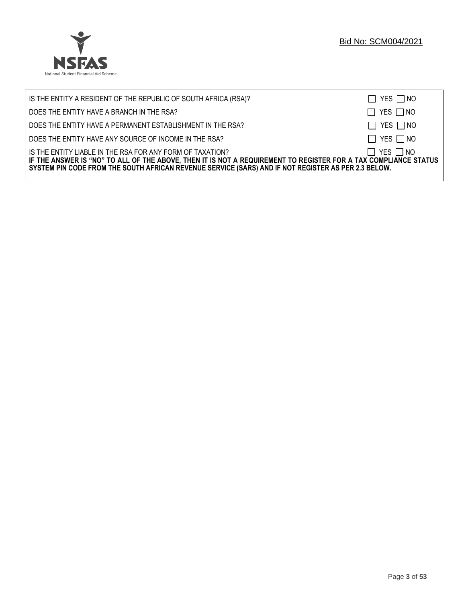

| IS THE ENTITY A RESIDENT OF THE REPUBLIC OF SOUTH AFRICA (RSA)?                                                                                                                                                                                                                     | $\Box$ YES $\Box$ NO |
|-------------------------------------------------------------------------------------------------------------------------------------------------------------------------------------------------------------------------------------------------------------------------------------|----------------------|
| DOES THE ENTITY HAVE A BRANCH IN THE RSA?                                                                                                                                                                                                                                           | $\Box$ YES $\Box$ NO |
| DOES THE ENTITY HAVE A PERMANENT ESTABLISHMENT IN THE RSA?                                                                                                                                                                                                                          | $\Box$ YES $\Box$ NO |
| DOES THE ENTITY HAVE ANY SOURCE OF INCOME IN THE RSA?                                                                                                                                                                                                                               | $\Box$ YES $\Box$ NO |
| IS THE ENTITY LIABLE IN THE RSA FOR ANY FORM OF TAXATION?<br>IF THE ANSWER IS "NO" TO ALL OF THE ABOVE, THEN IT IS NOT A REQUIREMENT TO REGISTER FOR A TAX COMPLIANCE STATUS<br>SYSTEM PIN CODE FROM THE SOUTH AFRICAN REVENUE SERVICE (SARS) AND IF NOT REGISTER AS PER 2.3 BELOW. | $\Box$ YES $\Box$ NO |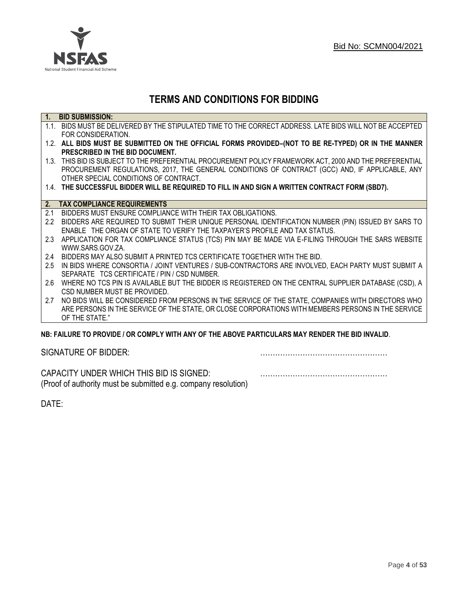

## **TERMS AND CONDITIONS FOR BIDDING**

| $\overline{1}$ . | <b>BID SUBMISSION:</b>                                                                                    |
|------------------|-----------------------------------------------------------------------------------------------------------|
|                  | 1.1. BIDS MUST BE DELIVERED BY THE STIPULATED TIME TO THE CORRECT ADDRESS. LATE BIDS WILL NOT BE ACCEPTED |
|                  | FOR CONSIDERATION.                                                                                        |
|                  | 1.2. ALL BIDS MUST BE SUBMITTED ON THE OFFICIAL FORMS PROVIDED-(NOT TO BE RE-TYPED) OR IN THE MANNER      |
|                  | PRESCRIBED IN THE BID DOCUMENT.                                                                           |
|                  | 1.3. THIS BID IS SUBJECT TO THE PREFERENTIAL PROCUREMENT POLICY FRAMEWORK ACT, 2000 AND THE PREFERENTIAL  |
|                  | PROCUREMENT REGULATIONS, 2017, THE GENERAL CONDITIONS OF CONTRACT (GCC) AND, IF APPLICABLE, ANY           |
|                  | OTHER SPECIAL CONDITIONS OF CONTRACT.                                                                     |
|                  | 1.4. THE SUCCESSFUL BIDDER WILL BE REQUIRED TO FILL IN AND SIGN A WRITTEN CONTRACT FORM (SBD7).           |
|                  |                                                                                                           |
|                  | 2. TAX COMPLIANCE REQUIREMENTS                                                                            |
| 2.1              | BIDDERS MUST ENSURE COMPLIANCE WITH THEIR TAX OBLIGATIONS.                                                |
| $2.2^{\circ}$    | BIDDERS ARE REQUIRED TO SUBMIT THEIR UNIQUE PERSONAL IDENTIFICATION NUMBER (PIN) ISSUED BY SARS TO        |
|                  | ENABLE THE ORGAN OF STATE TO VERIFY THE TAXPAYER'S PROFILE AND TAX STATUS.                                |
| 2.3              | APPLICATION FOR TAX COMPLIANCE STATUS (TCS) PIN MAY BE MADE VIA E-FILING THROUGH THE SARS WEBSITE         |
|                  | WWW.SARS.GOV.ZA.                                                                                          |
| 2.4              | BIDDERS MAY ALSO SUBMIT A PRINTED TCS CERTIFICATE TOGETHER WITH THE BID.                                  |
| 2.5              | IN BIDS WHERE CONSORTIA / JOINT VENTURES / SUB-CONTRACTORS ARE INVOLVED, EACH PARTY MUST SUBMIT A         |
|                  | SEPARATE TCS CERTIFICATE / PIN / CSD NUMBER.                                                              |
| 2.6              | WHERE NO TCS PIN IS AVAILABLE BUT THE BIDDER IS REGISTERED ON THE CENTRAL SUPPLIER DATABASE (CSD), A      |
|                  | CSD NUMBER MUST BE PROVIDED.                                                                              |
| 2.7              | NO BIDS WILL BE CONSIDERED FROM PERSONS IN THE SERVICE OF THE STATE, COMPANIES WITH DIRECTORS WHO         |
|                  | ARE PERSONS IN THE SERVICE OF THE STATE, OR CLOSE CORPORATIONS WITH MEMBERS PERSONS IN THE SERVICE        |
|                  | OF THE STATE."                                                                                            |
|                  | ND. EAILHDE TÓ DDÓVIDE LÓD CÓMDLV WITH ANV OF THE ADOVE DADTIGHLADO MAV DENDED THE DID INVALID            |

### **NB: FAILURE TO PROVIDE / OR COMPLY WITH ANY OF THE ABOVE PARTICULARS MAY RENDER THE BID INVALID**.

|  | SIGNATURE OF BIDDER: |
|--|----------------------|
|--|----------------------|

SIGNATURE OF BIDDER: ……………………………………………

CAPACITY UNDER WHICH THIS BID IS SIGNED: …………………………………………… (Proof of authority must be submitted e.g. company resolution)

DATE: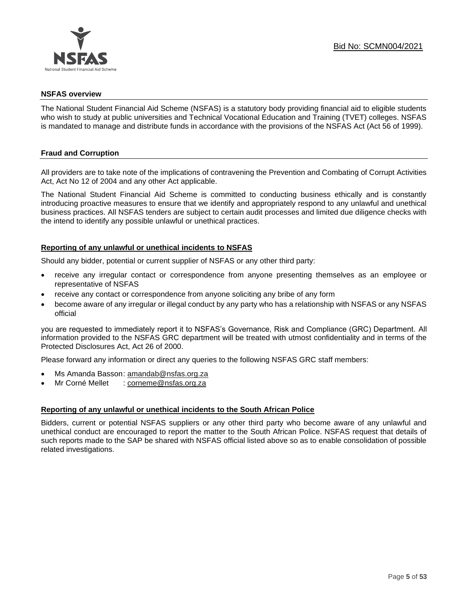

### **NSFAS overview**

The National Student Financial Aid Scheme (NSFAS) is a statutory body providing financial aid to eligible students who wish to study at public universities and Technical Vocational Education and Training (TVET) colleges. NSFAS is mandated to manage and distribute funds in accordance with the provisions of the NSFAS Act (Act 56 of 1999).

### **Fraud and Corruption**

All providers are to take note of the implications of contravening the Prevention and Combating of Corrupt Activities Act, Act No 12 of 2004 and any other Act applicable.

The National Student Financial Aid Scheme is committed to conducting business ethically and is constantly introducing proactive measures to ensure that we identify and appropriately respond to any unlawful and unethical business practices. All NSFAS tenders are subject to certain audit processes and limited due diligence checks with the intend to identify any possible unlawful or unethical practices.

### **Reporting of any unlawful or unethical incidents to NSFAS**

Should any bidder, potential or current supplier of NSFAS or any other third party:

- receive any irregular contact or correspondence from anyone presenting themselves as an employee or representative of NSFAS
- receive any contact or correspondence from anyone soliciting any bribe of any form
- become aware of any irregular or illegal conduct by any party who has a relationship with NSFAS or any NSFAS official

you are requested to immediately report it to NSFAS's Governance, Risk and Compliance (GRC) Department. All information provided to the NSFAS GRC department will be treated with utmost confidentiality and in terms of the Protected Disclosures Act, Act 26 of 2000.

Please forward any information or direct any queries to the following NSFAS GRC staff members:

- Ms Amanda Basson: [amandab@nsfas.org.za](mailto:amandab@nsfas.org.za)
- Mr Corné Mellet : [corneme@nsfas.org.za](mailto:corneme@nsfas.org.za)

### **Reporting of any unlawful or unethical incidents to the South African Police**

Bidders, current or potential NSFAS suppliers or any other third party who become aware of any unlawful and unethical conduct are encouraged to report the matter to the South African Police. NSFAS request that details of such reports made to the SAP be shared with NSFAS official listed above so as to enable consolidation of possible related investigations.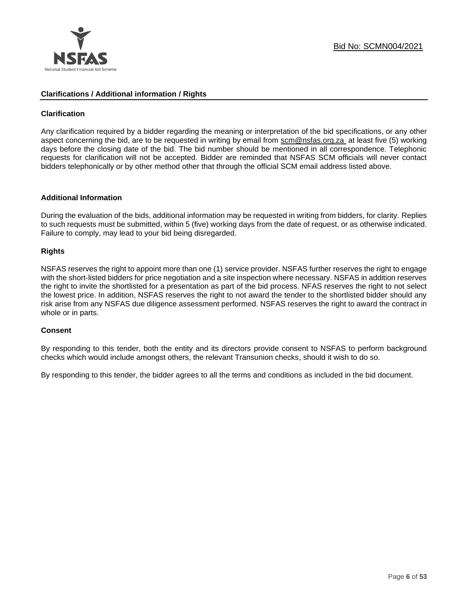

### **Clarifications / Additional information / Rights**

### **Clarification**

Any clarification required by a bidder regarding the meaning or interpretation of the bid specifications, or any other aspect concerning the bid, are to be requested in writing by email from [scm@nsfas.org.za](mailto:scm@nsfas.org.za) at least five (5) working days before the closing date of the bid. The bid number should be mentioned in all correspondence. Telephonic requests for clarification will not be accepted. Bidder are reminded that NSFAS SCM officials will never contact bidders telephonically or by other method other that through the official SCM email address listed above.

### **Additional Information**

During the evaluation of the bids, additional information may be requested in writing from bidders, for clarity. Replies to such requests must be submitted, within 5 (five) working days from the date of request, or as otherwise indicated. Failure to comply, may lead to your bid being disregarded.

### **Rights**

NSFAS reserves the right to appoint more than one (1) service provider. NSFAS further reserves the right to engage with the short-listed bidders for price negotiation and a site inspection where necessary. NSFAS in addition reserves the right to invite the shortlisted for a presentation as part of the bid process. NFAS reserves the right to not select the lowest price. In addition, NSFAS reserves the right to not award the tender to the shortlisted bidder should any risk arise from any NSFAS due diligence assessment performed. NSFAS reserves the right to award the contract in whole or in parts.

### **Consent**

By responding to this tender, both the entity and its directors provide consent to NSFAS to perform background checks which would include amongst others, the relevant Transunion checks, should it wish to do so.

By responding to this tender, the bidder agrees to all the terms and conditions as included in the bid document.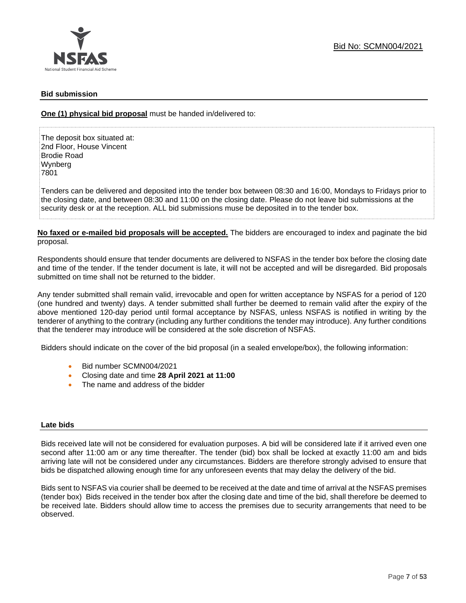

### **Bid submission**

**One (1) physical bid proposal** must be handed in/delivered to:

The deposit box situated at: 2nd Floor, House Vincent Brodie Road Wynberg 7801

Tenders can be delivered and deposited into the tender box between 08:30 and 16:00, Mondays to Fridays prior to the closing date, and between 08:30 and 11:00 on the closing date. Please do not leave bid submissions at the security desk or at the reception. ALL bid submissions muse be deposited in to the tender box.

**No faxed or e-mailed bid proposals will be accepted.** The bidders are encouraged to index and paginate the bid proposal.

Respondents should ensure that tender documents are delivered to NSFAS in the tender box before the closing date and time of the tender. If the tender document is late, it will not be accepted and will be disregarded. Bid proposals submitted on time shall not be returned to the bidder.

Any tender submitted shall remain valid, irrevocable and open for written acceptance by NSFAS for a period of 120 (one hundred and twenty) days. A tender submitted shall further be deemed to remain valid after the expiry of the above mentioned 120-day period until formal acceptance by NSFAS, unless NSFAS is notified in writing by the tenderer of anything to the contrary (including any further conditions the tender may introduce). Any further conditions that the tenderer may introduce will be considered at the sole discretion of NSFAS.

Bidders should indicate on the cover of the bid proposal (in a sealed envelope/box), the following information:

- Bid number SCMN004/2021
- Closing date and time **28 April 2021 at 11:00**
- The name and address of the bidder

### **Late bids**

Bids received late will not be considered for evaluation purposes. A bid will be considered late if it arrived even one second after 11:00 am or any time thereafter. The tender (bid) box shall be locked at exactly 11:00 am and bids arriving late will not be considered under any circumstances. Bidders are therefore strongly advised to ensure that bids be dispatched allowing enough time for any unforeseen events that may delay the delivery of the bid.

Bids sent to NSFAS via courier shall be deemed to be received at the date and time of arrival at the NSFAS premises (tender box) Bids received in the tender box after the closing date and time of the bid, shall therefore be deemed to be received late. Bidders should allow time to access the premises due to security arrangements that need to be observed.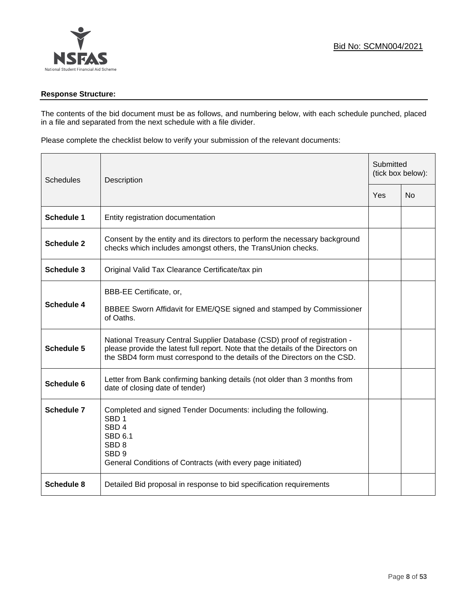

### **Response Structure:**

The contents of the bid document must be as follows, and numbering below, with each schedule punched, placed in a file and separated from the next schedule with a file divider.

Please complete the checklist below to verify your submission of the relevant documents:

| <b>Schedules</b><br>Description |                                                                                                                                                                                                                                            | Submitted<br>(tick box below): |           |
|---------------------------------|--------------------------------------------------------------------------------------------------------------------------------------------------------------------------------------------------------------------------------------------|--------------------------------|-----------|
|                                 |                                                                                                                                                                                                                                            | Yes                            | <b>No</b> |
| <b>Schedule 1</b>               | Entity registration documentation                                                                                                                                                                                                          |                                |           |
| <b>Schedule 2</b>               | Consent by the entity and its directors to perform the necessary background<br>checks which includes amongst others, the TransUnion checks.                                                                                                |                                |           |
| Schedule 3                      | Original Valid Tax Clearance Certificate/tax pin                                                                                                                                                                                           |                                |           |
| <b>Schedule 4</b>               | BBB-EE Certificate, or,<br>BBBEE Sworn Affidavit for EME/QSE signed and stamped by Commissioner<br>of Oaths.                                                                                                                               |                                |           |
| <b>Schedule 5</b>               | National Treasury Central Supplier Database (CSD) proof of registration -<br>please provide the latest full report. Note that the details of the Directors on<br>the SBD4 form must correspond to the details of the Directors on the CSD. |                                |           |
| Schedule 6                      | Letter from Bank confirming banking details (not older than 3 months from<br>date of closing date of tender)                                                                                                                               |                                |           |
| Schedule 7                      | Completed and signed Tender Documents: including the following.<br>SBD <sub>1</sub><br>SBD <sub>4</sub><br>SBD 6.1<br>SBD <sub>8</sub><br>SBD <sub>9</sub><br>General Conditions of Contracts (with every page initiated)                  |                                |           |
| <b>Schedule 8</b>               | Detailed Bid proposal in response to bid specification requirements                                                                                                                                                                        |                                |           |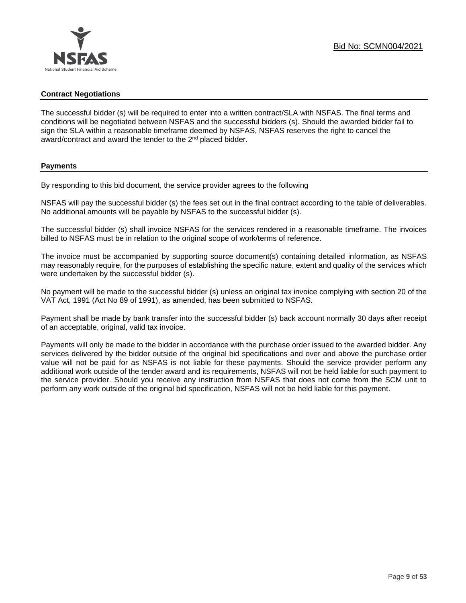### **Contract Negotiations**

The successful bidder (s) will be required to enter into a written contract/SLA with NSFAS. The final terms and conditions will be negotiated between NSFAS and the successful bidders (s). Should the awarded bidder fail to sign the SLA within a reasonable timeframe deemed by NSFAS, NSFAS reserves the right to cancel the award/contract and award the tender to the 2<sup>nd</sup> placed bidder.

### **Payments**

By responding to this bid document, the service provider agrees to the following

NSFAS will pay the successful bidder (s) the fees set out in the final contract according to the table of deliverables. No additional amounts will be payable by NSFAS to the successful bidder (s).

The successful bidder (s) shall invoice NSFAS for the services rendered in a reasonable timeframe. The invoices billed to NSFAS must be in relation to the original scope of work/terms of reference.

The invoice must be accompanied by supporting source document(s) containing detailed information, as NSFAS may reasonably require, for the purposes of establishing the specific nature, extent and quality of the services which were undertaken by the successful bidder (s).

No payment will be made to the successful bidder (s) unless an original tax invoice complying with section 20 of the VAT Act, 1991 (Act No 89 of 1991), as amended, has been submitted to NSFAS.

Payment shall be made by bank transfer into the successful bidder (s) back account normally 30 days after receipt of an acceptable, original, valid tax invoice.

Payments will only be made to the bidder in accordance with the purchase order issued to the awarded bidder. Any services delivered by the bidder outside of the original bid specifications and over and above the purchase order value will not be paid for as NSFAS is not liable for these payments. Should the service provider perform any additional work outside of the tender award and its requirements, NSFAS will not be held liable for such payment to the service provider. Should you receive any instruction from NSFAS that does not come from the SCM unit to perform any work outside of the original bid specification, NSFAS will not be held liable for this payment.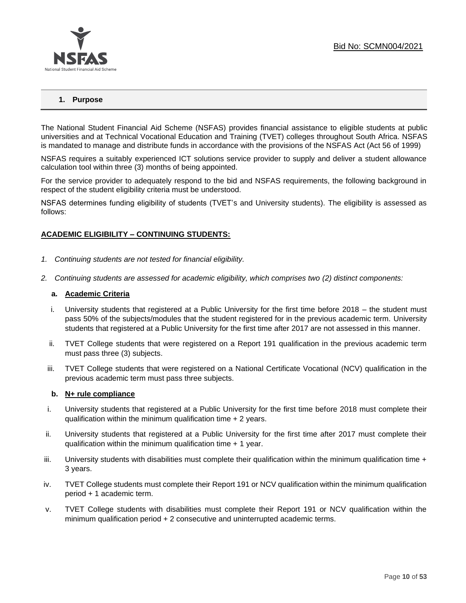

### **1. Purpose**

The National Student Financial Aid Scheme (NSFAS) provides financial assistance to eligible students at public universities and at Technical Vocational Education and Training (TVET) colleges throughout South Africa. NSFAS is mandated to manage and distribute funds in accordance with the provisions of the NSFAS Act (Act 56 of 1999)

NSFAS requires a suitably experienced ICT solutions service provider to supply and deliver a student allowance calculation tool within three (3) months of being appointed.

For the service provider to adequately respond to the bid and NSFAS requirements, the following background in respect of the student eligibility criteria must be understood.

NSFAS determines funding eligibility of students (TVET's and University students). The eligibility is assessed as follows:

### **ACADEMIC ELIGIBILITY – CONTINUING STUDENTS:**

- *1. Continuing students are not tested for financial eligibility.*
- *2. Continuing students are assessed for academic eligibility, which comprises two (2) distinct components:*

#### **a. Academic Criteria**

- i. University students that registered at a Public University for the first time before 2018 the student must pass 50% of the subjects/modules that the student registered for in the previous academic term. University students that registered at a Public University for the first time after 2017 are not assessed in this manner.
- ii. TVET College students that were registered on a Report 191 qualification in the previous academic term must pass three (3) subjects.
- iii. TVET College students that were registered on a National Certificate Vocational (NCV) qualification in the previous academic term must pass three subjects.

### **b. N+ rule compliance**

- i. University students that registered at a Public University for the first time before 2018 must complete their qualification within the minimum qualification time + 2 years.
- ii. University students that registered at a Public University for the first time after 2017 must complete their qualification within the minimum qualification time + 1 year.
- $i$  University students with disabilities must complete their qualification within the minimum qualification time  $+$ 3 years.
- iv. TVET College students must complete their Report 191 or NCV qualification within the minimum qualification period + 1 academic term.
- v. TVET College students with disabilities must complete their Report 191 or NCV qualification within the minimum qualification period + 2 consecutive and uninterrupted academic terms.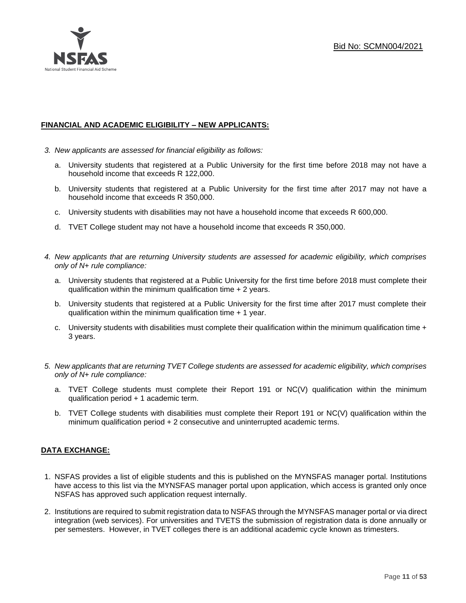

### **FINANCIAL AND ACADEMIC ELIGIBILITY – NEW APPLICANTS:**

- *3. New applicants are assessed for financial eligibility as follows:*
	- a. University students that registered at a Public University for the first time before 2018 may not have a household income that exceeds R 122,000.
	- b. University students that registered at a Public University for the first time after 2017 may not have a household income that exceeds R 350,000.
	- c. University students with disabilities may not have a household income that exceeds R 600,000.
	- d. TVET College student may not have a household income that exceeds R 350,000.
- *4. New applicants that are returning University students are assessed for academic eligibility, which comprises only of N+ rule compliance:*
	- a. University students that registered at a Public University for the first time before 2018 must complete their qualification within the minimum qualification time + 2 years.
	- b. University students that registered at a Public University for the first time after 2017 must complete their qualification within the minimum qualification time + 1 year.
	- c. University students with disabilities must complete their qualification within the minimum qualification time  $+$ 3 years.
- *5. New applicants that are returning TVET College students are assessed for academic eligibility, which comprises only of N+ rule compliance:*
	- a. TVET College students must complete their Report 191 or NC(V) qualification within the minimum qualification period + 1 academic term.
	- b. TVET College students with disabilities must complete their Report 191 or NC(V) qualification within the minimum qualification period + 2 consecutive and uninterrupted academic terms.

### **DATA EXCHANGE:**

- 1. NSFAS provides a list of eligible students and this is published on the MYNSFAS manager portal. Institutions have access to this list via the MYNSFAS manager portal upon application, which access is granted only once NSFAS has approved such application request internally.
- 2. Institutions are required to submit registration data to NSFAS through the MYNSFAS manager portal or via direct integration (web services). For universities and TVETS the submission of registration data is done annually or per semesters. However, in TVET colleges there is an additional academic cycle known as trimesters.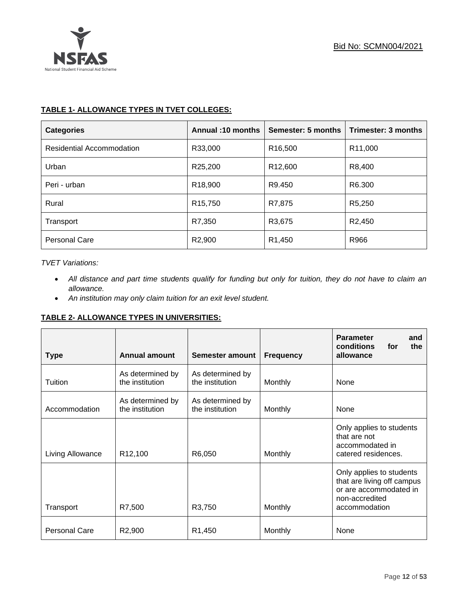

### **TABLE 1- ALLOWANCE TYPES IN TVET COLLEGES:**

| <b>Categories</b>                | Annual: 10 months    | Semester: 5 months  | Trimester: 3 months  |
|----------------------------------|----------------------|---------------------|----------------------|
| <b>Residential Accommodation</b> | R33,000              | R <sub>16,500</sub> | R <sub>11</sub> ,000 |
| Urban                            | R25,200              | R <sub>12,600</sub> | R8,400               |
| Peri - urban                     | R <sub>18</sub> ,900 | R9.450              | R6.300               |
| Rural                            | R <sub>15</sub> ,750 | R7,875              | R5,250               |
| Transport                        | R7,350               | R3,675              | R <sub>2</sub> ,450  |
| Personal Care                    | R2,900               | R <sub>1</sub> ,450 | R966                 |

### *TVET Variations:*

- *All distance and part time students qualify for funding but only for tuition, they do not have to claim an allowance.*
- *An institution may only claim tuition for an exit level student.*

### **TABLE 2- ALLOWANCE TYPES IN UNIVERSITIES:**

| <b>Type</b>          | <b>Annual amount</b>                | Semester amount                     | <b>Frequency</b> | <b>Parameter</b><br>and<br>conditions<br>for<br>the<br>allowance                                                    |  |
|----------------------|-------------------------------------|-------------------------------------|------------------|---------------------------------------------------------------------------------------------------------------------|--|
| Tuition              | As determined by<br>the institution | As determined by<br>the institution | Monthly          | None                                                                                                                |  |
| Accommodation        | As determined by<br>the institution | As determined by<br>the institution | Monthly          | None                                                                                                                |  |
| Living Allowance     | R <sub>12</sub> ,100                | R6,050                              | Monthly          | Only applies to students<br>that are not<br>accommodated in<br>catered residences.                                  |  |
| Transport            | R7,500                              | R3,750                              | Monthly          | Only applies to students<br>that are living off campus<br>or are accommodated in<br>non-accredited<br>accommodation |  |
| <b>Personal Care</b> | R <sub>2</sub> ,900                 | R <sub>1</sub> ,450                 | Monthly          | None                                                                                                                |  |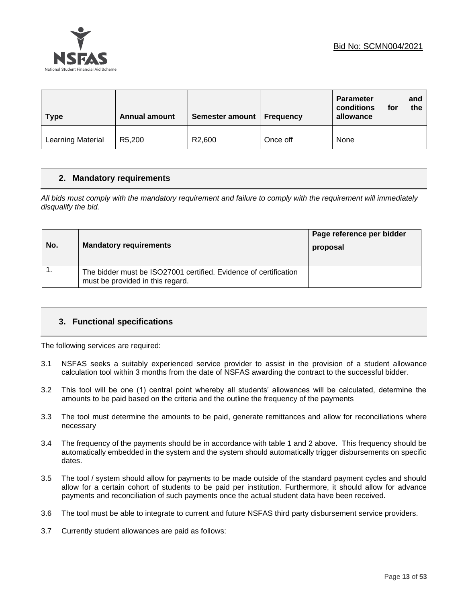



| <b>Type</b>       | <b>Annual amount</b> | Semester amount   Frequency |          | <b>Parameter</b><br>and<br>conditions<br>for<br>the<br>allowance |
|-------------------|----------------------|-----------------------------|----------|------------------------------------------------------------------|
| Learning Material | R5,200               | R <sub>2</sub> ,600         | Once off | None                                                             |

### **2. Mandatory requirements**

*All bids must comply with the mandatory requirement and failure to comply with the requirement will immediately disqualify the bid.*

| No. | <b>Mandatory requirements</b>                                                                        | Page reference per bidder<br>proposal |
|-----|------------------------------------------------------------------------------------------------------|---------------------------------------|
|     | The bidder must be ISO27001 certified. Evidence of certification<br>must be provided in this regard. |                                       |

### **3. Functional specifications**

The following services are required:

- 3.1 NSFAS seeks a suitably experienced service provider to assist in the provision of a student allowance calculation tool within 3 months from the date of NSFAS awarding the contract to the successful bidder.
- 3.2 This tool will be one (1) central point whereby all students' allowances will be calculated, determine the amounts to be paid based on the criteria and the outline the frequency of the payments
- 3.3 The tool must determine the amounts to be paid, generate remittances and allow for reconciliations where necessary
- 3.4 The frequency of the payments should be in accordance with table 1 and 2 above. This frequency should be automatically embedded in the system and the system should automatically trigger disbursements on specific dates.
- 3.5 The tool / system should allow for payments to be made outside of the standard payment cycles and should allow for a certain cohort of students to be paid per institution. Furthermore, it should allow for advance payments and reconciliation of such payments once the actual student data have been received.
- 3.6 The tool must be able to integrate to current and future NSFAS third party disbursement service providers.
- 3.7 Currently student allowances are paid as follows: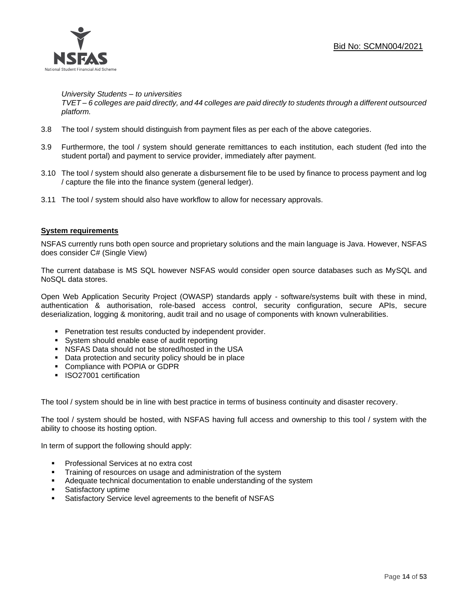

*University Students – to universities*

*TVET – 6 colleges are paid directly, and 44 colleges are paid directly to students through a different outsourced platform.*

- 3.8 The tool / system should distinguish from payment files as per each of the above categories.
- 3.9 Furthermore, the tool / system should generate remittances to each institution, each student (fed into the student portal) and payment to service provider, immediately after payment.
- 3.10 The tool / system should also generate a disbursement file to be used by finance to process payment and log / capture the file into the finance system (general ledger).
- 3.11 The tool / system should also have workflow to allow for necessary approvals.

### **System requirements**

NSFAS currently runs both open source and proprietary solutions and the main language is Java. However, NSFAS does consider C# (Single View)

The current database is MS SQL however NSFAS would consider open source databases such as MySQL and NoSQL data stores.

Open Web Application Security Project (OWASP) standards apply - software/systems built with these in mind, authentication & authorisation, role-based access control, security configuration, secure APIs, secure deserialization, logging & monitoring, audit trail and no usage of components with known vulnerabilities.

- Penetration test results conducted by independent provider.
- System should enable ease of audit reporting
- NSFAS Data should not be stored/hosted in the USA
- Data protection and security policy should be in place
- Compliance with POPIA or GDPR
- **·** ISO27001 certification

The tool / system should be in line with best practice in terms of business continuity and disaster recovery.

The tool / system should be hosted, with NSFAS having full access and ownership to this tool / system with the ability to choose its hosting option.

In term of support the following should apply:

- Professional Services at no extra cost
- **EXECT** Training of resources on usage and administration of the system
- **EXEDENT** Adequate technical documentation to enable understanding of the system
- Satisfactory uptime
- Satisfactory Service level agreements to the benefit of NSFAS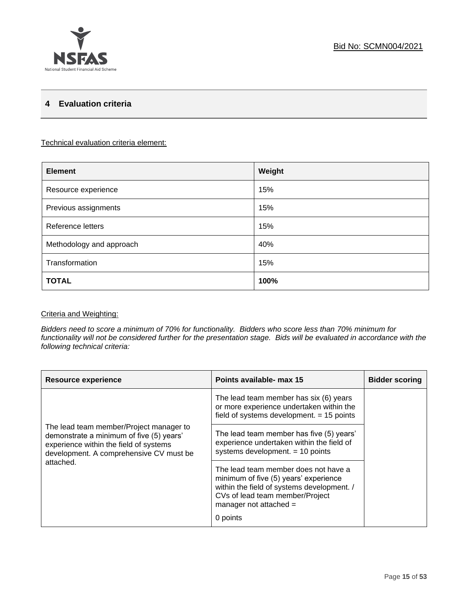### **4 Evaluation criteria**

### Technical evaluation criteria element:

| <b>Element</b>           | Weight |
|--------------------------|--------|
| Resource experience      | 15%    |
| Previous assignments     | 15%    |
| Reference letters        | 15%    |
| Methodology and approach | 40%    |
| Transformation           | 15%    |
| <b>TOTAL</b>             | 100%   |

### Criteria and Weighting:

*Bidders need to score a minimum of 70% for functionality. Bidders who score less than 70% minimum for functionality will not be considered further for the presentation stage. Bids will be evaluated in accordance with the following technical criteria:*

| <b>Resource experience</b>                                                                                                                                               | Points available- max 15                                                                                                                                                                               | <b>Bidder scoring</b> |
|--------------------------------------------------------------------------------------------------------------------------------------------------------------------------|--------------------------------------------------------------------------------------------------------------------------------------------------------------------------------------------------------|-----------------------|
|                                                                                                                                                                          | The lead team member has six (6) years<br>or more experience undertaken within the<br>field of systems development. $= 15$ points                                                                      |                       |
| The lead team member/Project manager to<br>demonstrate a minimum of five (5) years'<br>experience within the field of systems<br>development. A comprehensive CV must be | The lead team member has five (5) years'<br>experience undertaken within the field of<br>systems development. $= 10$ points                                                                            |                       |
| attached.                                                                                                                                                                | The lead team member does not have a<br>minimum of five (5) years' experience<br>within the field of systems development. /<br>CVs of lead team member/Project<br>manager not attached $=$<br>0 points |                       |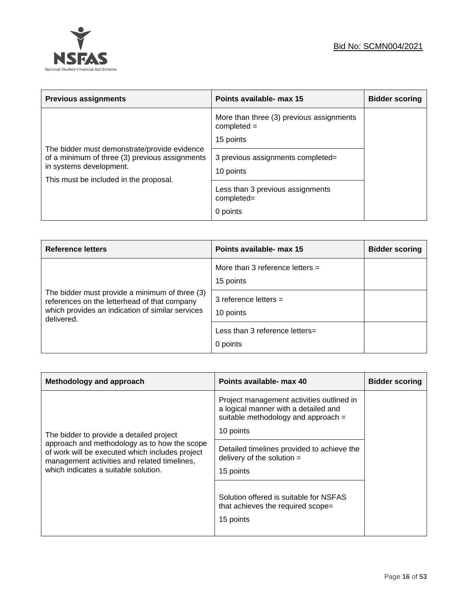

| <b>Previous assignments</b>                                                                                         | Points available- max 15                                               | <b>Bidder scoring</b> |
|---------------------------------------------------------------------------------------------------------------------|------------------------------------------------------------------------|-----------------------|
| The bidder must demonstrate/provide evidence                                                                        | More than three (3) previous assignments<br>$completed =$<br>15 points |                       |
| of a minimum of three (3) previous assignments<br>in systems development.<br>This must be included in the proposal. | 3 previous assignments completed=<br>10 points                         |                       |
|                                                                                                                     | Less than 3 previous assignments<br>completed=                         |                       |
|                                                                                                                     | 0 points                                                               |                       |

| <b>Reference letters</b>                                                                                                                                         | Points available- max 15                       | <b>Bidder scoring</b> |
|------------------------------------------------------------------------------------------------------------------------------------------------------------------|------------------------------------------------|-----------------------|
| The bidder must provide a minimum of three (3)<br>references on the letterhead of that company<br>which provides an indication of similar services<br>delivered. | More than 3 reference letters $=$<br>15 points |                       |
|                                                                                                                                                                  | 3 reference letters $=$<br>10 points           |                       |
|                                                                                                                                                                  | Less than 3 reference letters=<br>0 points     |                       |

| Methodology and approach                                                                                                                                                                | Points available- max 40                                                                                                              | <b>Bidder scoring</b> |
|-----------------------------------------------------------------------------------------------------------------------------------------------------------------------------------------|---------------------------------------------------------------------------------------------------------------------------------------|-----------------------|
| The bidder to provide a detailed project                                                                                                                                                | Project management activities outlined in<br>a logical manner with a detailed and<br>suitable methodology and approach =<br>10 points |                       |
| approach and methodology as to how the scope<br>of work will be executed which includes project<br>management activities and related timelines,<br>which indicates a suitable solution. | Detailed timelines provided to achieve the<br>delivery of the solution $=$<br>15 points                                               |                       |
|                                                                                                                                                                                         | Solution offered is suitable for NSFAS<br>that achieves the required scope=<br>15 points                                              |                       |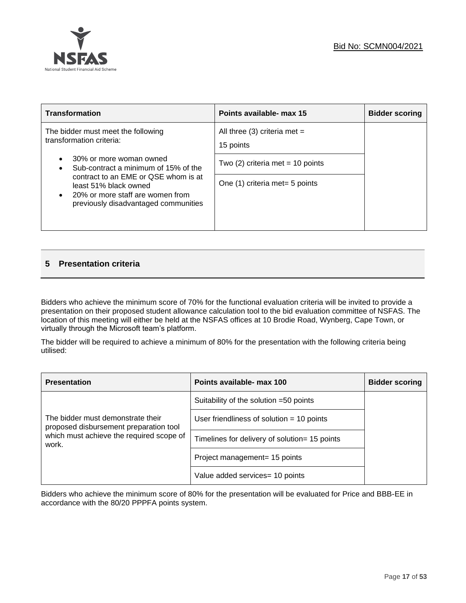

| <b>Transformation</b>                                                                                                                     | Points available- max 15                    | <b>Bidder scoring</b> |
|-------------------------------------------------------------------------------------------------------------------------------------------|---------------------------------------------|-----------------------|
| The bidder must meet the following<br>transformation criteria:                                                                            | All three (3) criteria met $=$<br>15 points |                       |
| 30% or more woman owned<br>Sub-contract a minimum of 15% of the                                                                           | Two $(2)$ criteria met = 10 points          |                       |
| contract to an EME or QSE whom is at<br>least 51% black owned<br>20% or more staff are women from<br>previously disadvantaged communities | One (1) criteria met= 5 points              |                       |

### **5 Presentation criteria**

Bidders who achieve the minimum score of 70% for the functional evaluation criteria will be invited to provide a presentation on their proposed student allowance calculation tool to the bid evaluation committee of NSFAS. The location of this meeting will either be held at the NSFAS offices at 10 Brodie Road, Wynberg, Cape Town, or virtually through the Microsoft team's platform.

The bidder will be required to achieve a minimum of 80% for the presentation with the following criteria being utilised:

| <b>Presentation</b>                                                                                                              | Points available- max 100                     | <b>Bidder scoring</b> |
|----------------------------------------------------------------------------------------------------------------------------------|-----------------------------------------------|-----------------------|
| The bidder must demonstrate their<br>proposed disbursement preparation tool<br>which must achieve the required scope of<br>work. | Suitability of the solution =50 points        |                       |
|                                                                                                                                  | User friendliness of solution $=$ 10 points   |                       |
|                                                                                                                                  | Timelines for delivery of solution= 15 points |                       |
|                                                                                                                                  | Project management= 15 points                 |                       |
|                                                                                                                                  | Value added services= 10 points               |                       |

Bidders who achieve the minimum score of 80% for the presentation will be evaluated for Price and BBB-EE in accordance with the 80/20 PPPFA points system.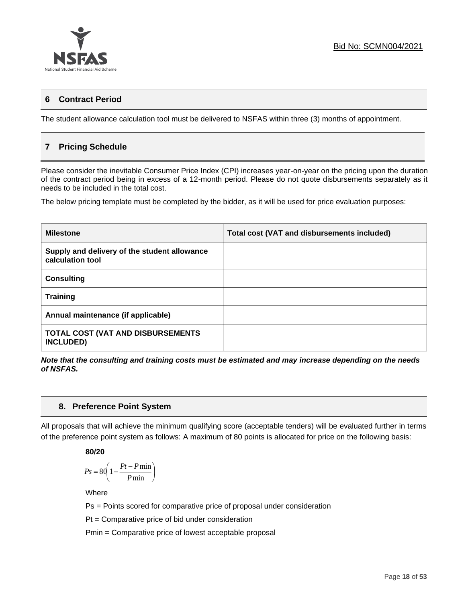

### **6 Contract Period**

The student allowance calculation tool must be delivered to NSFAS within three (3) months of appointment.

### **7 Pricing Schedule**

Please consider the inevitable Consumer Price Index (CPI) increases year-on-year on the pricing upon the duration of the contract period being in excess of a 12-month period. Please do not quote disbursements separately as it needs to be included in the total cost.

The below pricing template must be completed by the bidder, as it will be used for price evaluation purposes:

| <b>Milestone</b>                                                 | Total cost (VAT and disbursements included) |
|------------------------------------------------------------------|---------------------------------------------|
| Supply and delivery of the student allowance<br>calculation tool |                                             |
| <b>Consulting</b>                                                |                                             |
| <b>Training</b>                                                  |                                             |
| Annual maintenance (if applicable)                               |                                             |
| <b>TOTAL COST (VAT AND DISBURSEMENTS</b><br><b>INCLUDED)</b>     |                                             |

*Note that the consulting and training costs must be estimated and may increase depending on the needs of NSFAS.* 

### **8. Preference Point System**

All proposals that will achieve the minimum qualifying score (acceptable tenders) will be evaluated further in terms of the preference point system as follows: A maximum of 80 points is allocated for price on the following basis:

**80/20**

$$
Ps = 80 \left( 1 - \frac{Pt - P \min}{P \min} \right)
$$

**Where** 

Ps = Points scored for comparative price of proposal under consideration

Pt = Comparative price of bid under consideration

Pmin = Comparative price of lowest acceptable proposal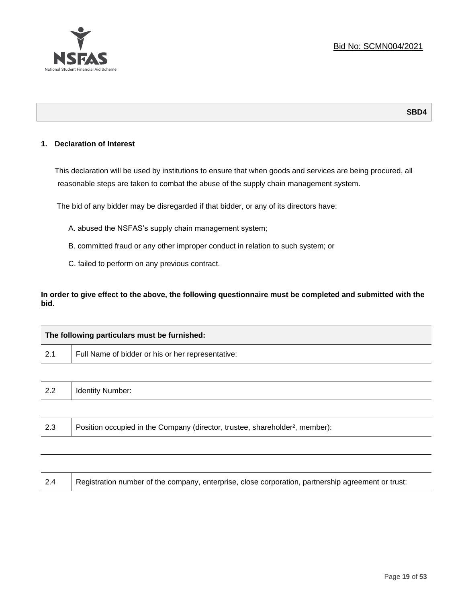

### **SBD4**

### **1. Declaration of Interest**

This declaration will be used by institutions to ensure that when goods and services are being procured, all reasonable steps are taken to combat the abuse of the supply chain management system.

The bid of any bidder may be disregarded if that bidder, or any of its directors have:

- A. abused the NSFAS's supply chain management system;
- B. committed fraud or any other improper conduct in relation to such system; or
- C. failed to perform on any previous contract.

**In order to give effect to the above, the following questionnaire must be completed and submitted with the bid**.

|     | The following particulars must be furnished:                                             |  |
|-----|------------------------------------------------------------------------------------------|--|
| 2.1 | Full Name of bidder or his or her representative:                                        |  |
|     |                                                                                          |  |
| 2.2 | <b>Identity Number:</b>                                                                  |  |
|     |                                                                                          |  |
| 2.3 | Position occupied in the Company (director, trustee, shareholder <sup>2</sup> , member): |  |

| 2.4 | Registration number of the company, enterprise, close corporation, partnership agreement or trust: |
|-----|----------------------------------------------------------------------------------------------------|
|     |                                                                                                    |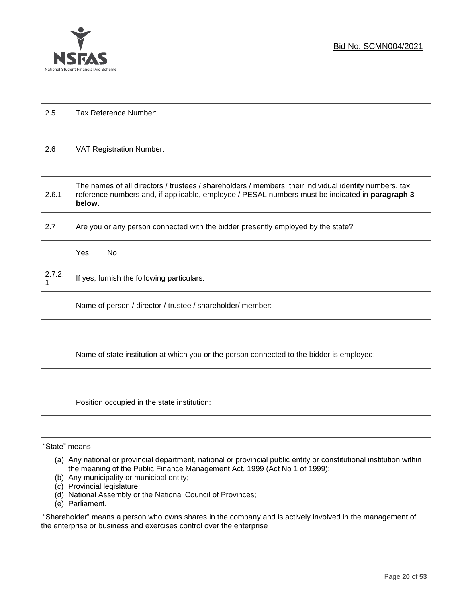

| $\Omega$<br>ن.∠ | Tax Reference Number: |
|-----------------|-----------------------|
|                 |                       |

| 2.6 | VAT Registration Number: |
|-----|--------------------------|
|-----|--------------------------|

| 2.6.1  | The names of all directors / trustees / shareholders / members, their individual identity numbers, tax<br>reference numbers and, if applicable, employee / PESAL numbers must be indicated in paragraph 3<br>below. |     |  |  |
|--------|---------------------------------------------------------------------------------------------------------------------------------------------------------------------------------------------------------------------|-----|--|--|
| 2.7    | Are you or any person connected with the bidder presently employed by the state?                                                                                                                                    |     |  |  |
|        | Yes                                                                                                                                                                                                                 | No. |  |  |
| 2.7.2. | If yes, furnish the following particulars:                                                                                                                                                                          |     |  |  |
|        | Name of person / director / trustee / shareholder/ member:                                                                                                                                                          |     |  |  |

| Name of state institution at which you or the person connected to the bidder is employed: |
|-------------------------------------------------------------------------------------------|
|                                                                                           |

Position occupied in the state institution:

### "State" means

- (a) Any national or provincial department, national or provincial public entity or constitutional institution within the meaning of the Public Finance Management Act, 1999 (Act No 1 of 1999);
- (b) Any municipality or municipal entity;
- (c) Provincial legislature;
- (d) National Assembly or the National Council of Provinces;
- (e) Parliament.

"Shareholder" means a person who owns shares in the company and is actively involved in the management of the enterprise or business and exercises control over the enterprise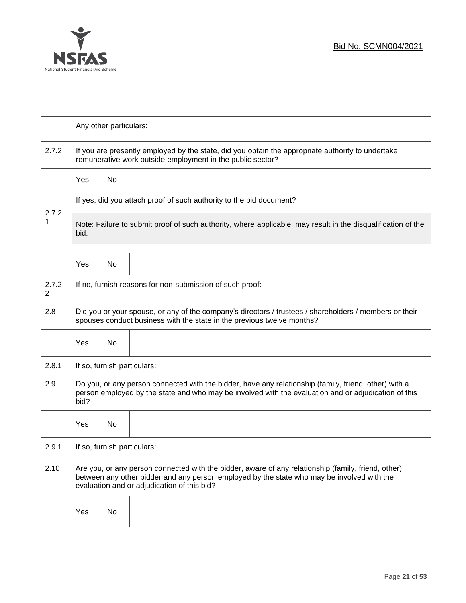

|             | Any other particulars:                                                                                                                                                                                                                           |                                                                                                                                                                 |  |  |  |
|-------------|--------------------------------------------------------------------------------------------------------------------------------------------------------------------------------------------------------------------------------------------------|-----------------------------------------------------------------------------------------------------------------------------------------------------------------|--|--|--|
| 2.7.2       |                                                                                                                                                                                                                                                  | If you are presently employed by the state, did you obtain the appropriate authority to undertake<br>remunerative work outside employment in the public sector? |  |  |  |
|             | <b>Yes</b>                                                                                                                                                                                                                                       | No                                                                                                                                                              |  |  |  |
|             | If yes, did you attach proof of such authority to the bid document?                                                                                                                                                                              |                                                                                                                                                                 |  |  |  |
| 2.7.2.<br>1 | Note: Failure to submit proof of such authority, where applicable, may result in the disqualification of the<br>bid.                                                                                                                             |                                                                                                                                                                 |  |  |  |
|             | Yes                                                                                                                                                                                                                                              | No                                                                                                                                                              |  |  |  |
| 2.7.2.<br>2 | If no, furnish reasons for non-submission of such proof:                                                                                                                                                                                         |                                                                                                                                                                 |  |  |  |
| 2.8         | Did you or your spouse, or any of the company's directors / trustees / shareholders / members or their<br>spouses conduct business with the state in the previous twelve months?                                                                 |                                                                                                                                                                 |  |  |  |
|             | Yes                                                                                                                                                                                                                                              | No                                                                                                                                                              |  |  |  |
| 2.8.1       | If so, furnish particulars:                                                                                                                                                                                                                      |                                                                                                                                                                 |  |  |  |
| 2.9         | Do you, or any person connected with the bidder, have any relationship (family, friend, other) with a<br>person employed by the state and who may be involved with the evaluation and or adjudication of this<br>bid?                            |                                                                                                                                                                 |  |  |  |
|             | Yes                                                                                                                                                                                                                                              | No                                                                                                                                                              |  |  |  |
| 2.9.1       | If so, furnish particulars:                                                                                                                                                                                                                      |                                                                                                                                                                 |  |  |  |
| 2.10        | Are you, or any person connected with the bidder, aware of any relationship (family, friend, other)<br>between any other bidder and any person employed by the state who may be involved with the<br>evaluation and or adjudication of this bid? |                                                                                                                                                                 |  |  |  |
|             | Yes                                                                                                                                                                                                                                              | No                                                                                                                                                              |  |  |  |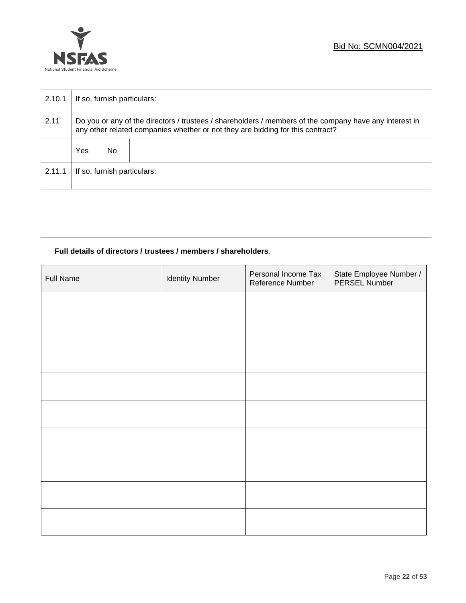

| 2.10.1 | If so, furnish particulars:                                                                                                                                                              |    |  |  |
|--------|------------------------------------------------------------------------------------------------------------------------------------------------------------------------------------------|----|--|--|
| 2.11   | Do you or any of the directors / trustees / shareholders / members of the company have any interest in<br>any other related companies whether or not they are bidding for this contract? |    |  |  |
|        | Yes                                                                                                                                                                                      | No |  |  |
| 2.11.1 | If so, furnish particulars:                                                                                                                                                              |    |  |  |

### **Full details of directors / trustees / members / shareholders**.

| Full Name | <b>Identity Number</b> | Personal Income Tax<br>Reference Number | State Employee Number /<br>PERSEL Number |
|-----------|------------------------|-----------------------------------------|------------------------------------------|
|           |                        |                                         |                                          |
|           |                        |                                         |                                          |
|           |                        |                                         |                                          |
|           |                        |                                         |                                          |
|           |                        |                                         |                                          |
|           |                        |                                         |                                          |
|           |                        |                                         |                                          |
|           |                        |                                         |                                          |
|           |                        |                                         |                                          |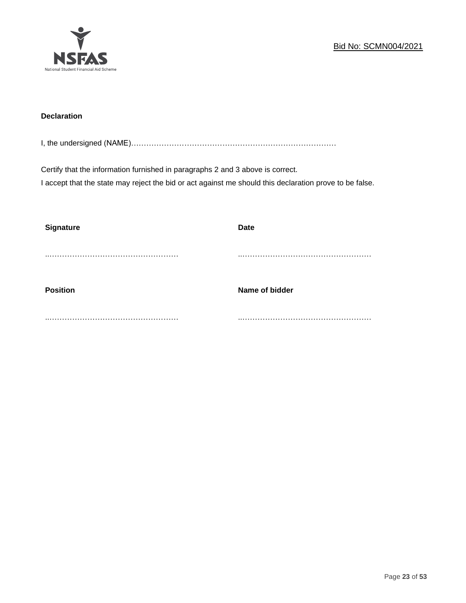

### **Declaration**

I, the undersigned (NAME)………………………………………………………………………

Certify that the information furnished in paragraphs 2 and 3 above is correct. I accept that the state may reject the bid or act against me should this declaration prove to be false.

| <b>Signature</b> | <b>Date</b>    |
|------------------|----------------|
|                  |                |
| <b>Position</b>  | Name of bidder |
|                  |                |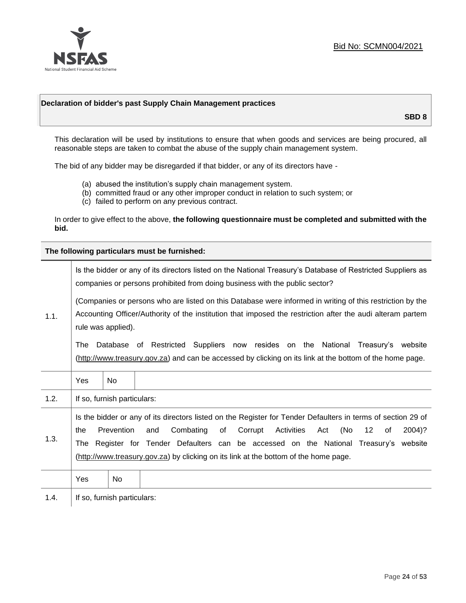

### **Declaration of bidder's past Supply Chain Management practices**

**SBD 8**

This declaration will be used by institutions to ensure that when goods and services are being procured, all reasonable steps are taken to combat the abuse of the supply chain management system.

The bid of any bidder may be disregarded if that bidder, or any of its directors have -

- (a) abused the institution's supply chain management system.
- (b) committed fraud or any other improper conduct in relation to such system; or
- (c) failed to perform on any previous contract.

In order to give effect to the above, **the following questionnaire must be completed and submitted with the bid.**

**The following particulars must be furnished:**

| 1.1. | Is the bidder or any of its directors listed on the National Treasury's Database of Restricted Suppliers as<br>companies or persons prohibited from doing business with the public sector?                                                                                                                                                                                                                |                             |                                                                                                                                                                                                |  |  |
|------|-----------------------------------------------------------------------------------------------------------------------------------------------------------------------------------------------------------------------------------------------------------------------------------------------------------------------------------------------------------------------------------------------------------|-----------------------------|------------------------------------------------------------------------------------------------------------------------------------------------------------------------------------------------|--|--|
|      | (Companies or persons who are listed on this Database were informed in writing of this restriction by the<br>Accounting Officer/Authority of the institution that imposed the restriction after the audi alteram partem<br>rule was applied).                                                                                                                                                             |                             |                                                                                                                                                                                                |  |  |
|      | The                                                                                                                                                                                                                                                                                                                                                                                                       |                             | Database of Restricted Suppliers now resides on the National<br>Treasury's website<br>(http://www.treasury.gov.za) and can be accessed by clicking on its link at the bottom of the home page. |  |  |
|      | Yes                                                                                                                                                                                                                                                                                                                                                                                                       | <b>No</b>                   |                                                                                                                                                                                                |  |  |
| 1.2. |                                                                                                                                                                                                                                                                                                                                                                                                           | If so, furnish particulars: |                                                                                                                                                                                                |  |  |
| 1.3. | Is the bidder or any of its directors listed on the Register for Tender Defaulters in terms of section 29 of<br>Prevention<br>Activities<br>(No<br>Combating<br>of<br>Corrupt<br>12<br>2004)?<br>the<br>and<br>Act<br>of<br>The Register for Tender Defaulters can be accessed on the National Treasury's website<br>(http://www.treasury.gov.za) by clicking on its link at the bottom of the home page. |                             |                                                                                                                                                                                                |  |  |
|      | Yes                                                                                                                                                                                                                                                                                                                                                                                                       | No                          |                                                                                                                                                                                                |  |  |
| 1.4. |                                                                                                                                                                                                                                                                                                                                                                                                           | If so, furnish particulars: |                                                                                                                                                                                                |  |  |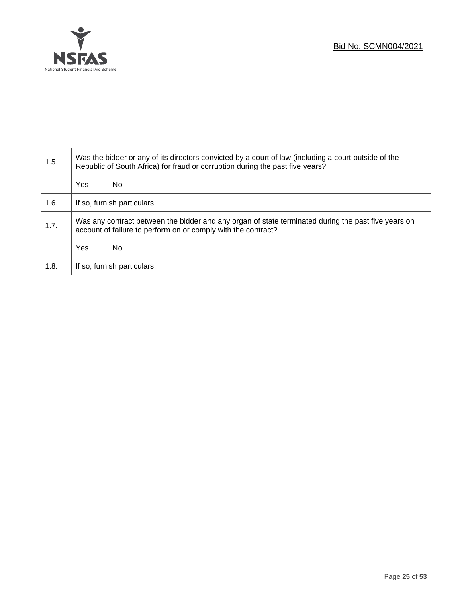

T

| 1.5. | Was the bidder or any of its directors convicted by a court of law (including a court outside of the<br>Republic of South Africa) for fraud or corruption during the past five years? |    |  |  |
|------|---------------------------------------------------------------------------------------------------------------------------------------------------------------------------------------|----|--|--|
|      | <b>Yes</b>                                                                                                                                                                            | No |  |  |
| 1.6. | If so, furnish particulars:                                                                                                                                                           |    |  |  |
| 1.7. | Was any contract between the bidder and any organ of state terminated during the past five years on<br>account of failure to perform on or comply with the contract?                  |    |  |  |
|      | <b>Yes</b>                                                                                                                                                                            | No |  |  |
| 1.8. | If so, furnish particulars:                                                                                                                                                           |    |  |  |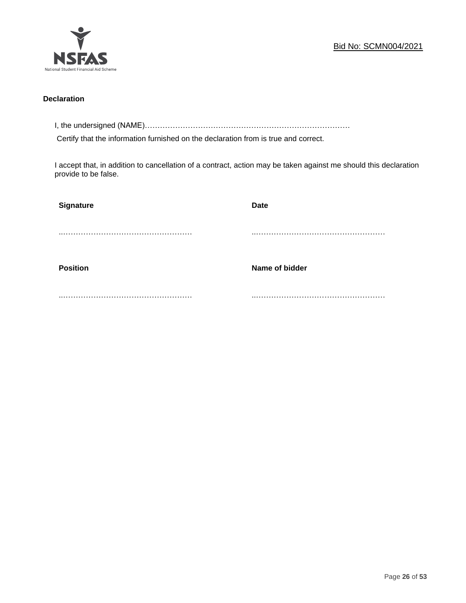

### **Declaration**

I, the undersigned (NAME)………………………………………………………………………

Certify that the information furnished on the declaration from is true and correct.

I accept that, in addition to cancellation of a contract, action may be taken against me should this declaration provide to be false.

| Signature       | <b>Date</b>    |
|-----------------|----------------|
|                 |                |
|                 |                |
| <b>Position</b> | Name of bidder |
|                 |                |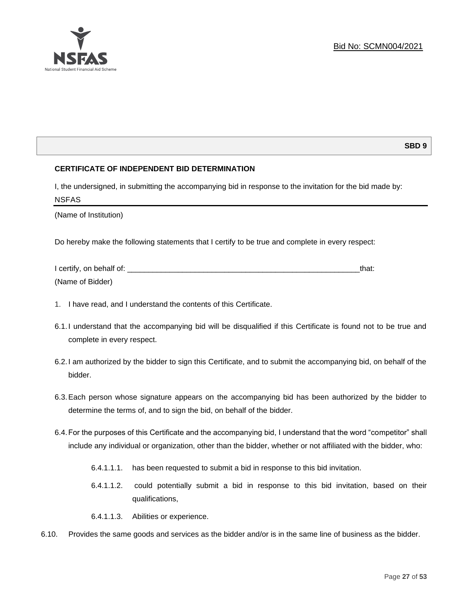

### **SBD 9**

### **CERTIFICATE OF INDEPENDENT BID DETERMINATION**

I, the undersigned, in submitting the accompanying bid in response to the invitation for the bid made by: NSFAS

(Name of Institution)

Do hereby make the following statements that I certify to be true and complete in every respect:

| I certify, on behalf of: |  |
|--------------------------|--|
| (Name of Bidder)         |  |

- 1. I have read, and I understand the contents of this Certificate.
- 6.1.I understand that the accompanying bid will be disqualified if this Certificate is found not to be true and complete in every respect.
- 6.2.I am authorized by the bidder to sign this Certificate, and to submit the accompanying bid, on behalf of the bidder.
- 6.3.Each person whose signature appears on the accompanying bid has been authorized by the bidder to determine the terms of, and to sign the bid, on behalf of the bidder.
- 6.4.For the purposes of this Certificate and the accompanying bid, I understand that the word "competitor" shall include any individual or organization, other than the bidder, whether or not affiliated with the bidder, who:
	- 6.4.1.1.1. has been requested to submit a bid in response to this bid invitation.
	- 6.4.1.1.2. could potentially submit a bid in response to this bid invitation, based on their qualifications,
	- 6.4.1.1.3. Abilities or experience.
- 6.10. Provides the same goods and services as the bidder and/or is in the same line of business as the bidder.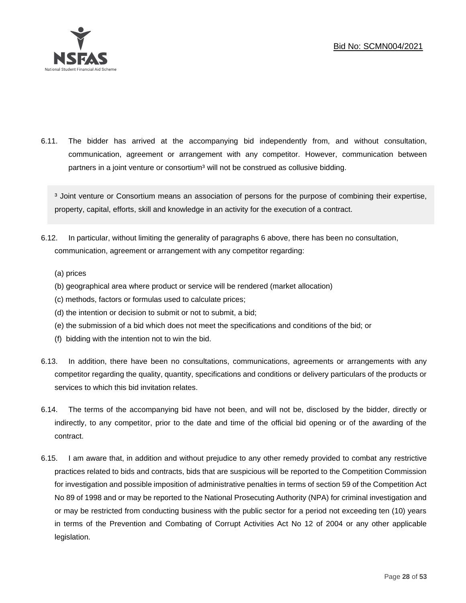

6.11. The bidder has arrived at the accompanying bid independently from, and without consultation, communication, agreement or arrangement with any competitor. However, communication between partners in a joint venture or consortium<sup>3</sup> will not be construed as collusive bidding.

<sup>3</sup> Joint venture or Consortium means an association of persons for the purpose of combining their expertise, property, capital, efforts, skill and knowledge in an activity for the execution of a contract.

- 6.12. In particular, without limiting the generality of paragraphs 6 above, there has been no consultation, communication, agreement or arrangement with any competitor regarding:
	- (a) prices
	- (b) geographical area where product or service will be rendered (market allocation)
	- (c) methods, factors or formulas used to calculate prices;
	- (d) the intention or decision to submit or not to submit, a bid;
	- (e) the submission of a bid which does not meet the specifications and conditions of the bid; or
	- (f) bidding with the intention not to win the bid.
- 6.13. In addition, there have been no consultations, communications, agreements or arrangements with any competitor regarding the quality, quantity, specifications and conditions or delivery particulars of the products or services to which this bid invitation relates.
- 6.14. The terms of the accompanying bid have not been, and will not be, disclosed by the bidder, directly or indirectly, to any competitor, prior to the date and time of the official bid opening or of the awarding of the contract.
- 6.15. I am aware that, in addition and without prejudice to any other remedy provided to combat any restrictive practices related to bids and contracts, bids that are suspicious will be reported to the Competition Commission for investigation and possible imposition of administrative penalties in terms of section 59 of the Competition Act No 89 of 1998 and or may be reported to the National Prosecuting Authority (NPA) for criminal investigation and or may be restricted from conducting business with the public sector for a period not exceeding ten (10) years in terms of the Prevention and Combating of Corrupt Activities Act No 12 of 2004 or any other applicable legislation.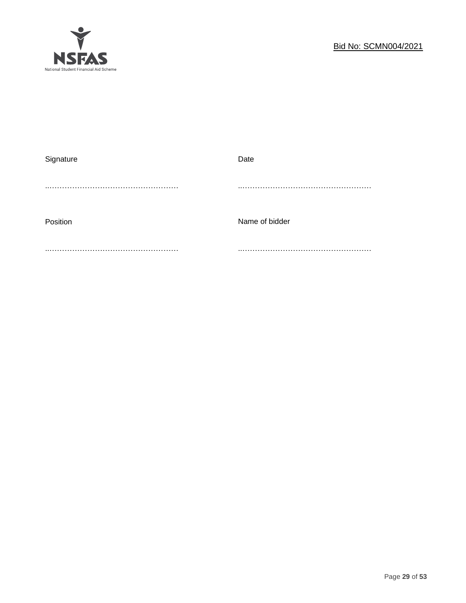

| Signature | Date           |
|-----------|----------------|
|           |                |
| Position  | Name of bidder |
|           |                |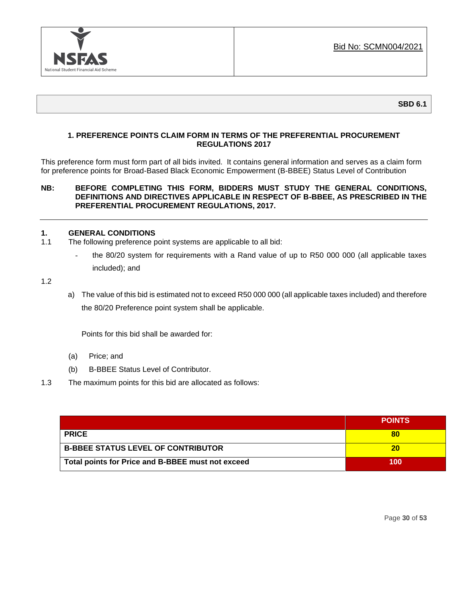

### **1. PREFERENCE POINTS CLAIM FORM IN TERMS OF THE PREFERENTIAL PROCUREMENT REGULATIONS 2017**

This preference form must form part of all bids invited. It contains general information and serves as a claim form for preference points for Broad-Based Black Economic Empowerment (B-BBEE) Status Level of Contribution

### **NB: BEFORE COMPLETING THIS FORM, BIDDERS MUST STUDY THE GENERAL CONDITIONS, DEFINITIONS AND DIRECTIVES APPLICABLE IN RESPECT OF B-BBEE, AS PRESCRIBED IN THE PREFERENTIAL PROCUREMENT REGULATIONS, 2017.**

### **1. GENERAL CONDITIONS**

- 1.1 The following preference point systems are applicable to all bid:
	- the 80/20 system for requirements with a Rand value of up to R50 000 000 (all applicable taxes included); and

1.2

a) The value of this bid is estimated not to exceed R50 000 000 (all applicable taxes included) and therefore the 80/20 Preference point system shall be applicable.

Points for this bid shall be awarded for:

- (a) Price; and
- (b) B-BBEE Status Level of Contributor.
- 1.3 The maximum points for this bid are allocated as follows:

|                                                   | <b>POINTS</b> |
|---------------------------------------------------|---------------|
| <b>PRICE</b>                                      |               |
| <b>B-BBEE STATUS LEVEL OF CONTRIBUTOR</b>         | 20            |
| Total points for Price and B-BBEE must not exceed | 100           |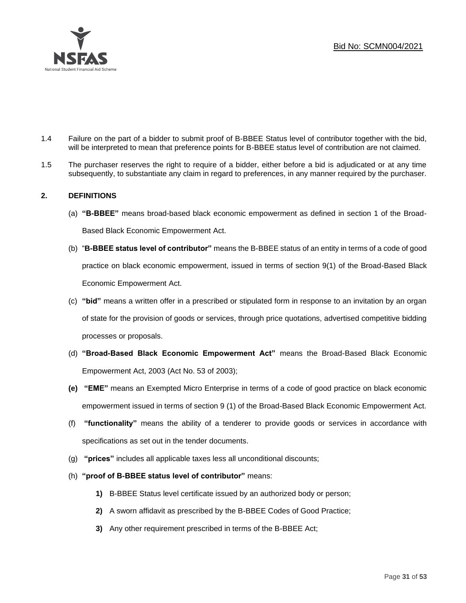

- 1.4 Failure on the part of a bidder to submit proof of B-BBEE Status level of contributor together with the bid, will be interpreted to mean that preference points for B-BBEE status level of contribution are not claimed.
- 1.5 The purchaser reserves the right to require of a bidder, either before a bid is adjudicated or at any time subsequently, to substantiate any claim in regard to preferences, in any manner required by the purchaser.

### **2. DEFINITIONS**

- (a) **"B-BBEE"** means broad-based black economic empowerment as defined in section 1 of the Broad-Based Black Economic Empowerment Act.
- (b) "**B-BBEE status level of contributor"** means the B-BBEE status of an entity in terms of a code of good practice on black economic empowerment, issued in terms of section 9(1) of the Broad-Based Black Economic Empowerment Act.
- (c) **"bid"** means a written offer in a prescribed or stipulated form in response to an invitation by an organ of state for the provision of goods or services, through price quotations, advertised competitive bidding processes or proposals.
- (d) **"Broad-Based Black Economic Empowerment Act"** means the Broad-Based Black Economic Empowerment Act, 2003 (Act No. 53 of 2003);
- **(e) "EME"** means an Exempted Micro Enterprise in terms of a code of good practice on black economic empowerment issued in terms of section 9 (1) of the Broad-Based Black Economic Empowerment Act.
- (f) **"functionality"** means the ability of a tenderer to provide goods or services in accordance with specifications as set out in the tender documents.
- (g) **"prices"** includes all applicable taxes less all unconditional discounts;
- (h) **"proof of B-BBEE status level of contributor"** means:
	- **1)** B-BBEE Status level certificate issued by an authorized body or person;
	- **2)** A sworn affidavit as prescribed by the B-BBEE Codes of Good Practice;
	- **3)** Any other requirement prescribed in terms of the B-BBEE Act;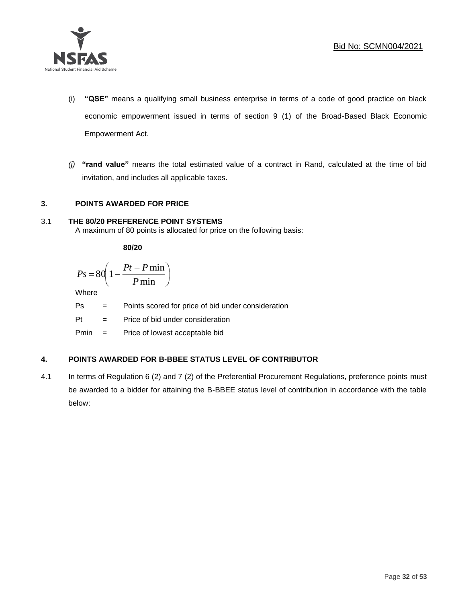

- (i) **"QSE"** means a qualifying small business enterprise in terms of a code of good practice on black economic empowerment issued in terms of section 9 (1) of the Broad-Based Black Economic Empowerment Act.
- *(j)* **"rand value"** means the total estimated value of a contract in Rand, calculated at the time of bid invitation, and includes all applicable taxes.

### **3. POINTS AWARDED FOR PRICE**

### 3.1 **THE 80/20 PREFERENCE POINT SYSTEMS**

A maximum of 80 points is allocated for price on the following basis:

**80/20**

$$
Ps = 80 \left( 1 - \frac{Pt - P \min}{P \min} \right)
$$

Where

Ps = Points scored for price of bid under consideration

l

Pt = Price of bid under consideration

Pmin = Price of lowest acceptable bid

### **4. POINTS AWARDED FOR B-BBEE STATUS LEVEL OF CONTRIBUTOR**

4.1 In terms of Regulation 6 (2) and 7 (2) of the Preferential Procurement Regulations, preference points must be awarded to a bidder for attaining the B-BBEE status level of contribution in accordance with the table below: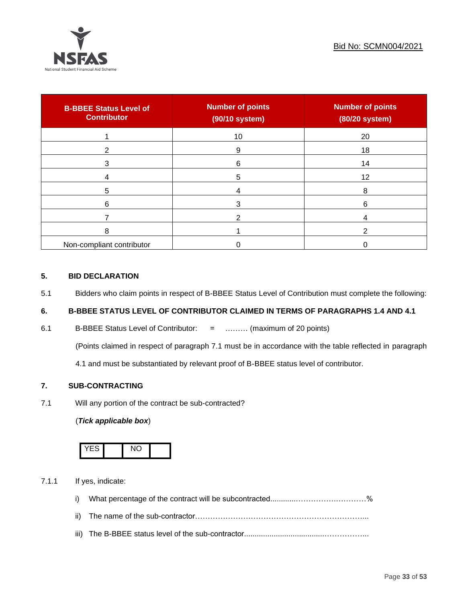

| <b>B-BBEE Status Level of</b><br><b>Contributor</b> | <b>Number of points</b><br>(90/10 system) | <b>Number of points</b><br>(80/20 system) |
|-----------------------------------------------------|-------------------------------------------|-------------------------------------------|
|                                                     | 10                                        | 20                                        |
| 2                                                   | 9                                         | 18                                        |
| 3                                                   | 6                                         | 14                                        |
|                                                     | 5                                         | 12                                        |
| 5                                                   |                                           | 8                                         |
| 6                                                   |                                           | 6                                         |
|                                                     |                                           |                                           |
| 8                                                   |                                           | ົ                                         |
| Non-compliant contributor                           |                                           |                                           |

### **5. BID DECLARATION**

5.1 Bidders who claim points in respect of B-BBEE Status Level of Contribution must complete the following:

### **6. B-BBEE STATUS LEVEL OF CONTRIBUTOR CLAIMED IN TERMS OF PARAGRAPHS 1.4 AND 4.1**

6.1 B-BBEE Status Level of Contributor: = ……… (maximum of 20 points)

(Points claimed in respect of paragraph 7.1 must be in accordance with the table reflected in paragraph

4.1 and must be substantiated by relevant proof of B-BBEE status level of contributor.

### **7. SUB-CONTRACTING**

7.1 Will any portion of the contract be sub-contracted?

### (*Tick applicable box*)



7.1.1 If yes, indicate:

- i) What percentage of the contract will be subcontracted............…………….…………%
- ii) The name of the sub-contractor…………………………………………………………...
- iii) The B-BBEE status level of the sub-contractor......................................……………...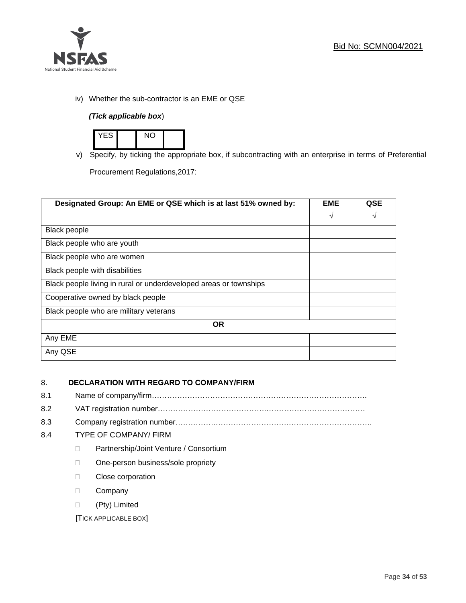

iv) Whether the sub-contractor is an EME or QSE

### *(Tick applicable box*)



v) Specify, by ticking the appropriate box, if subcontracting with an enterprise in terms of Preferential

Procurement Regulations,2017:

| Designated Group: An EME or QSE which is at last 51% owned by:    | <b>EME</b> | <b>QSE</b> |
|-------------------------------------------------------------------|------------|------------|
|                                                                   | $\sqrt{ }$ | V          |
| <b>Black people</b>                                               |            |            |
| Black people who are youth                                        |            |            |
| Black people who are women                                        |            |            |
| Black people with disabilities                                    |            |            |
| Black people living in rural or underdeveloped areas or townships |            |            |
| Cooperative owned by black people                                 |            |            |
| Black people who are military veterans                            |            |            |
| <b>OR</b>                                                         |            |            |
| Any EME                                                           |            |            |
| Any QSE                                                           |            |            |

### 8. **DECLARATION WITH REGARD TO COMPANY/FIRM**

- 8.1 Name of company/firm………………………………………………………………………….
- 8.2 VAT registration number…………………………………….…………………………………
- 8.3 Company registration number…………….……………………….…………………………….

### 8.4 TYPE OF COMPANY/ FIRM

- D Partnership/Joint Venture / Consortium
- □ One-person business/sole propriety
- D Close corporation
- D Company
- (Pty) Limited

[TICK APPLICABLE BOX]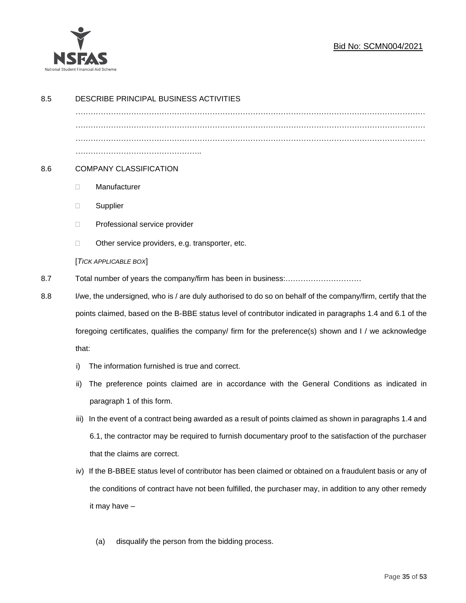

### Bid No: SCMN004/2021

| 8.5 |                                                                                                              | DESCRIBE PRINCIPAL BUSINESS ACTIVITIES                                                                 |  |
|-----|--------------------------------------------------------------------------------------------------------------|--------------------------------------------------------------------------------------------------------|--|
|     |                                                                                                              |                                                                                                        |  |
|     |                                                                                                              |                                                                                                        |  |
|     |                                                                                                              |                                                                                                        |  |
| 8.6 | <b>COMPANY CLASSIFICATION</b>                                                                                |                                                                                                        |  |
|     | $\Box$                                                                                                       | Manufacturer                                                                                           |  |
|     | $\Box$                                                                                                       | Supplier                                                                                               |  |
|     | $\Box$                                                                                                       | Professional service provider                                                                          |  |
|     | □                                                                                                            | Other service providers, e.g. transporter, etc.                                                        |  |
|     | [TICK APPLICABLE BOX]                                                                                        |                                                                                                        |  |
| 8.7 |                                                                                                              |                                                                                                        |  |
| 8.8 | I/we, the undersigned, who is / are duly authorised to do so on behalf of the company/firm, certify that the |                                                                                                        |  |
|     | points claimed, based on the B-BBE status level of contributor indicated in paragraphs 1.4 and 6.1 of the    |                                                                                                        |  |
|     |                                                                                                              | foregoing certificates, qualifies the company/ firm for the preference(s) shown and I / we acknowledge |  |
|     | that:                                                                                                        |                                                                                                        |  |
|     | i)                                                                                                           | The information furnished is true and correct.                                                         |  |
|     | ii)                                                                                                          | The preference points claimed are in accordance with the General Conditions as indicated in            |  |
|     |                                                                                                              | paragraph 1 of this form.                                                                              |  |
|     | iii)                                                                                                         | In the event of a contract being awarded as a result of points claimed as shown in paragraphs 1.4 and  |  |
|     |                                                                                                              | 6.1, the contractor may be required to furnish documentary proof to the satisfaction of the purchaser  |  |
|     |                                                                                                              | that the claims are correct.                                                                           |  |
|     | iv)                                                                                                          | If the B-BBEE status level of contributor has been claimed or obtained on a fraudulent basis or any of |  |
|     |                                                                                                              | the conditions of contract have not been fulfilled, the purchaser may, in addition to any other remedy |  |
|     |                                                                                                              | it may have -                                                                                          |  |
|     |                                                                                                              |                                                                                                        |  |
|     |                                                                                                              | disqualify the person from the bidding process.<br>(a)                                                 |  |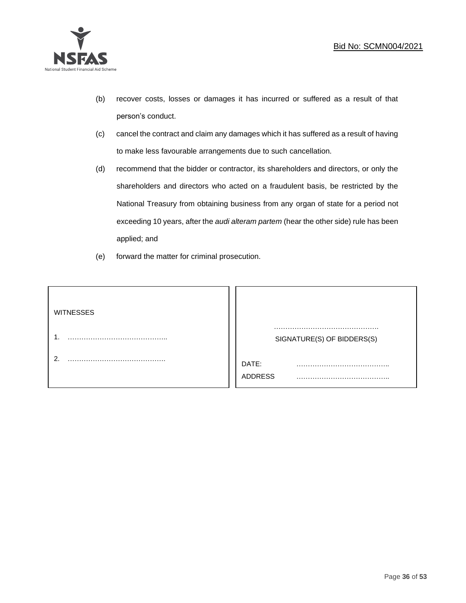

- (b) recover costs, losses or damages it has incurred or suffered as a result of that person's conduct.
- (c) cancel the contract and claim any damages which it has suffered as a result of having to make less favourable arrangements due to such cancellation.
- (d) recommend that the bidder or contractor, its shareholders and directors, or only the shareholders and directors who acted on a fraudulent basis, be restricted by the National Treasury from obtaining business from any organ of state for a period not exceeding 10 years, after the *audi alteram partem* (hear the other side) rule has been applied; and
- (e) forward the matter for criminal prosecution.

| <b>WITNESSES</b> |                              |
|------------------|------------------------------|
|                  | SIGNATURE(S) OF BIDDERS(S)   |
|                  | DATE:<br>.<br><b>ADDRESS</b> |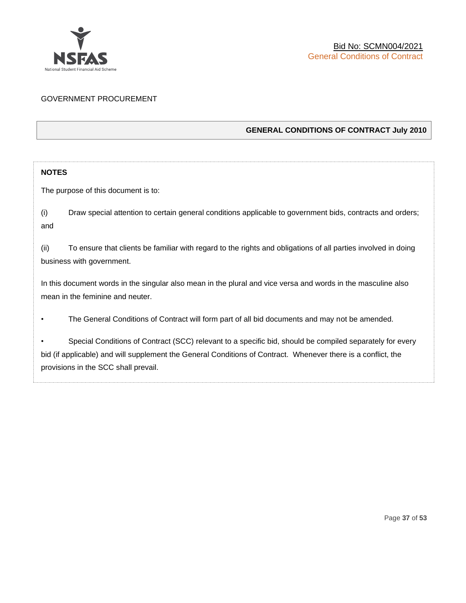

### GOVERNMENT PROCUREMENT

### **GENERAL CONDITIONS OF CONTRACT July 2010**

### **NOTES**

The purpose of this document is to:

(i) Draw special attention to certain general conditions applicable to government bids, contracts and orders; and

(ii) To ensure that clients be familiar with regard to the rights and obligations of all parties involved in doing business with government.

In this document words in the singular also mean in the plural and vice versa and words in the masculine also mean in the feminine and neuter.

• The General Conditions of Contract will form part of all bid documents and may not be amended.

Special Conditions of Contract (SCC) relevant to a specific bid, should be compiled separately for every bid (if applicable) and will supplement the General Conditions of Contract. Whenever there is a conflict, the provisions in the SCC shall prevail.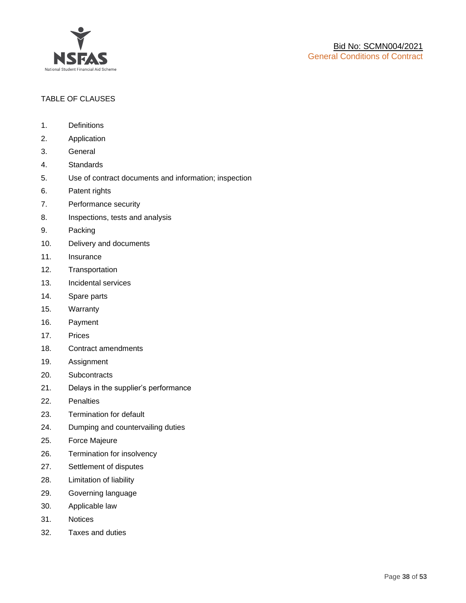

### TABLE OF CLAUSES

- 1. Definitions
- 2. Application
- 3. General
- 4. Standards
- 5. Use of contract documents and information; inspection
- 6. Patent rights
- 7. Performance security
- 8. Inspections, tests and analysis
- 9. Packing
- 10. Delivery and documents
- 11. Insurance
- 12. Transportation
- 13. Incidental services
- 14. Spare parts
- 15. Warranty
- 16. Payment
- 17. Prices
- 18. Contract amendments
- 19. Assignment
- 20. Subcontracts
- 21. Delays in the supplier's performance
- 22. Penalties
- 23. Termination for default
- 24. Dumping and countervailing duties
- 25. Force Majeure
- 26. Termination for insolvency
- 27. Settlement of disputes
- 28. Limitation of liability
- 29. Governing language
- 30. Applicable law
- 31. Notices
- 32. Taxes and duties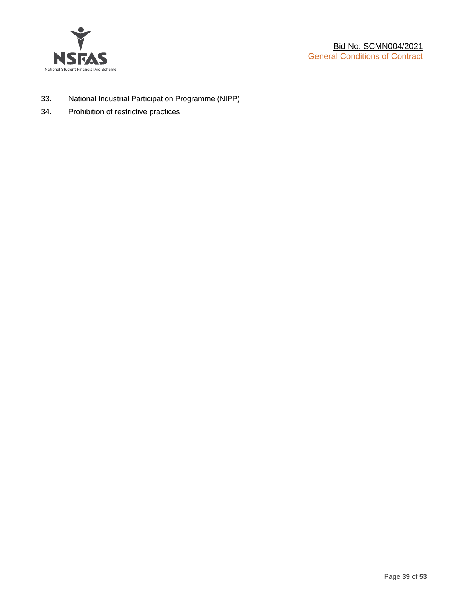

- 33. National Industrial Participation Programme (NIPP)
- 34. Prohibition of restrictive practices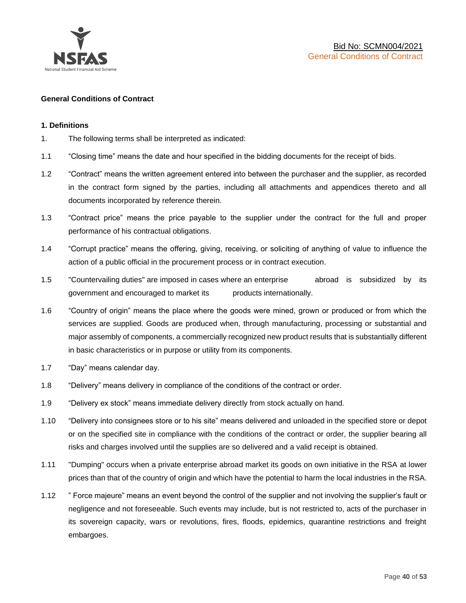

### **General Conditions of Contract**

### **1. Definitions**

- 1. The following terms shall be interpreted as indicated:
- 1.1 "Closing time" means the date and hour specified in the bidding documents for the receipt of bids.
- 1.2 "Contract" means the written agreement entered into between the purchaser and the supplier, as recorded in the contract form signed by the parties, including all attachments and appendices thereto and all documents incorporated by reference therein.
- 1.3 "Contract price" means the price payable to the supplier under the contract for the full and proper performance of his contractual obligations.
- 1.4 "Corrupt practice" means the offering, giving, receiving, or soliciting of anything of value to influence the action of a public official in the procurement process or in contract execution.
- 1.5 "Countervailing duties" are imposed in cases where an enterprise abroad is subsidized by its government and encouraged to market its products internationally.
- 1.6 "Country of origin" means the place where the goods were mined, grown or produced or from which the services are supplied. Goods are produced when, through manufacturing, processing or substantial and major assembly of components, a commercially recognized new product results that is substantially different in basic characteristics or in purpose or utility from its components.
- 1.7 "Day" means calendar day.
- 1.8 "Delivery" means delivery in compliance of the conditions of the contract or order.
- 1.9 "Delivery ex stock" means immediate delivery directly from stock actually on hand.
- 1.10 "Delivery into consignees store or to his site" means delivered and unloaded in the specified store or depot or on the specified site in compliance with the conditions of the contract or order, the supplier bearing all risks and charges involved until the supplies are so delivered and a valid receipt is obtained.
- 1.11 "Dumping" occurs when a private enterprise abroad market its goods on own initiative in the RSA at lower prices than that of the country of origin and which have the potential to harm the local industries in the RSA.
- 1.12 " Force majeure" means an event beyond the control of the supplier and not involving the supplier's fault or negligence and not foreseeable. Such events may include, but is not restricted to, acts of the purchaser in its sovereign capacity, wars or revolutions, fires, floods, epidemics, quarantine restrictions and freight embargoes.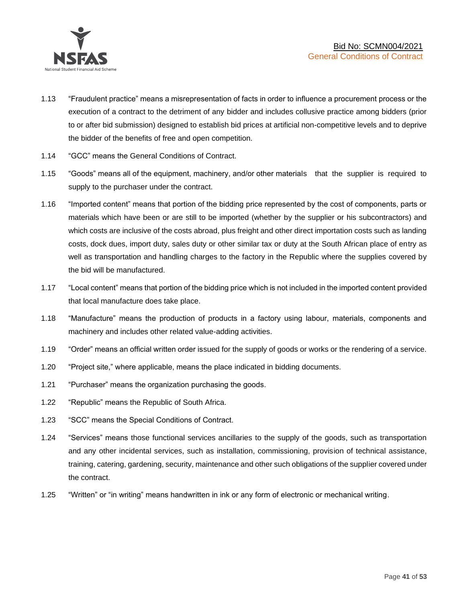

- 1.13 "Fraudulent practice" means a misrepresentation of facts in order to influence a procurement process or the execution of a contract to the detriment of any bidder and includes collusive practice among bidders (prior to or after bid submission) designed to establish bid prices at artificial non-competitive levels and to deprive the bidder of the benefits of free and open competition.
- 1.14 "GCC" means the General Conditions of Contract.
- 1.15 "Goods" means all of the equipment, machinery, and/or other materials that the supplier is required to supply to the purchaser under the contract.
- 1.16 "Imported content" means that portion of the bidding price represented by the cost of components, parts or materials which have been or are still to be imported (whether by the supplier or his subcontractors) and which costs are inclusive of the costs abroad, plus freight and other direct importation costs such as landing costs, dock dues, import duty, sales duty or other similar tax or duty at the South African place of entry as well as transportation and handling charges to the factory in the Republic where the supplies covered by the bid will be manufactured.
- 1.17 "Local content" means that portion of the bidding price which is not included in the imported content provided that local manufacture does take place.
- 1.18 "Manufacture" means the production of products in a factory using labour, materials, components and machinery and includes other related value-adding activities.
- 1.19 "Order" means an official written order issued for the supply of goods or works or the rendering of a service.
- 1.20 "Project site," where applicable, means the place indicated in bidding documents.
- 1.21 "Purchaser" means the organization purchasing the goods.
- 1.22 "Republic" means the Republic of South Africa.
- 1.23 "SCC" means the Special Conditions of Contract.
- 1.24 "Services" means those functional services ancillaries to the supply of the goods, such as transportation and any other incidental services, such as installation, commissioning, provision of technical assistance, training, catering, gardening, security, maintenance and other such obligations of the supplier covered under the contract.
- 1.25 "Written" or "in writing" means handwritten in ink or any form of electronic or mechanical writing.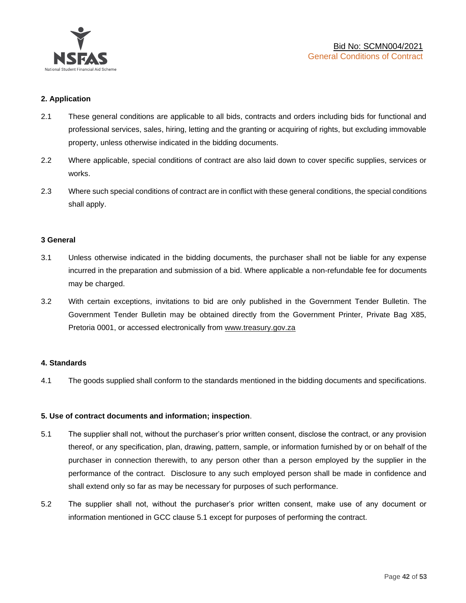

### **2. Application**

- 2.1 These general conditions are applicable to all bids, contracts and orders including bids for functional and professional services, sales, hiring, letting and the granting or acquiring of rights, but excluding immovable property, unless otherwise indicated in the bidding documents.
- 2.2 Where applicable, special conditions of contract are also laid down to cover specific supplies, services or works.
- 2.3 Where such special conditions of contract are in conflict with these general conditions, the special conditions shall apply.

### **3 General**

- 3.1 Unless otherwise indicated in the bidding documents, the purchaser shall not be liable for any expense incurred in the preparation and submission of a bid. Where applicable a non-refundable fee for documents may be charged.
- 3.2 With certain exceptions, invitations to bid are only published in the Government Tender Bulletin. The Government Tender Bulletin may be obtained directly from the Government Printer, Private Bag X85, Pretoria 0001, or accessed electronically from [www.treasury.gov.za](http://www.treasury.gov.za/)

### **4. Standards**

4.1 The goods supplied shall conform to the standards mentioned in the bidding documents and specifications.

### **5. Use of contract documents and information; inspection**.

- 5.1 The supplier shall not, without the purchaser's prior written consent, disclose the contract, or any provision thereof, or any specification, plan, drawing, pattern, sample, or information furnished by or on behalf of the purchaser in connection therewith, to any person other than a person employed by the supplier in the performance of the contract. Disclosure to any such employed person shall be made in confidence and shall extend only so far as may be necessary for purposes of such performance.
- 5.2 The supplier shall not, without the purchaser's prior written consent, make use of any document or information mentioned in GCC clause 5.1 except for purposes of performing the contract.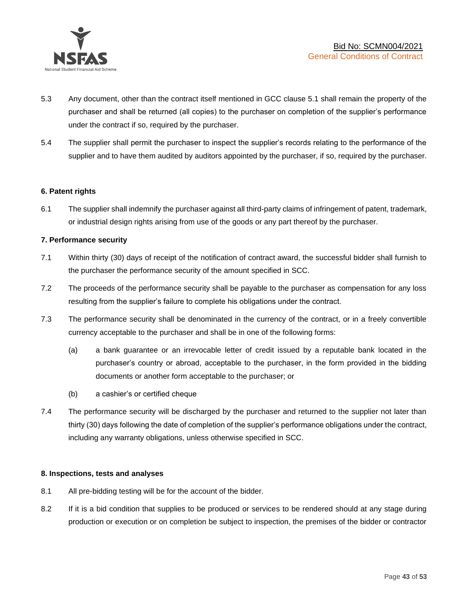

- 5.3 Any document, other than the contract itself mentioned in GCC clause 5.1 shall remain the property of the purchaser and shall be returned (all copies) to the purchaser on completion of the supplier's performance under the contract if so, required by the purchaser.
- 5.4 The supplier shall permit the purchaser to inspect the supplier's records relating to the performance of the supplier and to have them audited by auditors appointed by the purchaser, if so, required by the purchaser.

### **6. Patent rights**

6.1 The supplier shall indemnify the purchaser against all third-party claims of infringement of patent, trademark, or industrial design rights arising from use of the goods or any part thereof by the purchaser.

### **7. Performance security**

- 7.1 Within thirty (30) days of receipt of the notification of contract award, the successful bidder shall furnish to the purchaser the performance security of the amount specified in SCC.
- 7.2 The proceeds of the performance security shall be payable to the purchaser as compensation for any loss resulting from the supplier's failure to complete his obligations under the contract.
- 7.3 The performance security shall be denominated in the currency of the contract, or in a freely convertible currency acceptable to the purchaser and shall be in one of the following forms:
	- (a) a bank guarantee or an irrevocable letter of credit issued by a reputable bank located in the purchaser's country or abroad, acceptable to the purchaser, in the form provided in the bidding documents or another form acceptable to the purchaser; or
	- (b) a cashier's or certified cheque
- 7.4 The performance security will be discharged by the purchaser and returned to the supplier not later than thirty (30) days following the date of completion of the supplier's performance obligations under the contract, including any warranty obligations, unless otherwise specified in SCC.

### **8. Inspections, tests and analyses**

- 8.1 All pre-bidding testing will be for the account of the bidder.
- 8.2 If it is a bid condition that supplies to be produced or services to be rendered should at any stage during production or execution or on completion be subject to inspection, the premises of the bidder or contractor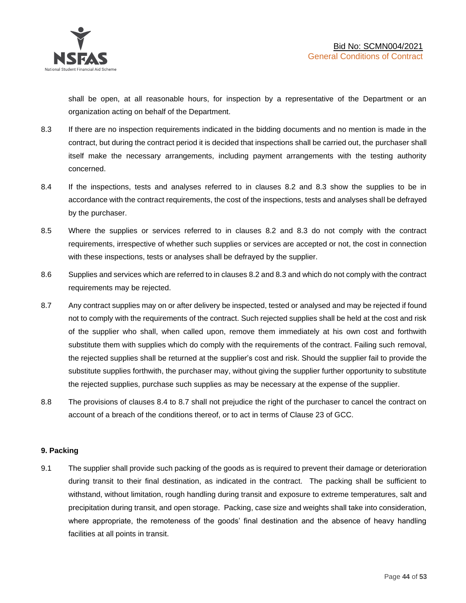shall be open, at all reasonable hours, for inspection by a representative of the Department or an organization acting on behalf of the Department.

- 8.3 If there are no inspection requirements indicated in the bidding documents and no mention is made in the contract, but during the contract period it is decided that inspections shall be carried out, the purchaser shall itself make the necessary arrangements, including payment arrangements with the testing authority concerned.
- 8.4 If the inspections, tests and analyses referred to in clauses 8.2 and 8.3 show the supplies to be in accordance with the contract requirements, the cost of the inspections, tests and analyses shall be defrayed by the purchaser.
- 8.5 Where the supplies or services referred to in clauses 8.2 and 8.3 do not comply with the contract requirements, irrespective of whether such supplies or services are accepted or not, the cost in connection with these inspections, tests or analyses shall be defrayed by the supplier.
- 8.6 Supplies and services which are referred to in clauses 8.2 and 8.3 and which do not comply with the contract requirements may be rejected.
- 8.7 Any contract supplies may on or after delivery be inspected, tested or analysed and may be rejected if found not to comply with the requirements of the contract. Such rejected supplies shall be held at the cost and risk of the supplier who shall, when called upon, remove them immediately at his own cost and forthwith substitute them with supplies which do comply with the requirements of the contract. Failing such removal, the rejected supplies shall be returned at the supplier's cost and risk. Should the supplier fail to provide the substitute supplies forthwith, the purchaser may, without giving the supplier further opportunity to substitute the rejected supplies, purchase such supplies as may be necessary at the expense of the supplier.
- 8.8 The provisions of clauses 8.4 to 8.7 shall not prejudice the right of the purchaser to cancel the contract on account of a breach of the conditions thereof, or to act in terms of Clause 23 of GCC.

### **9. Packing**

9.1 The supplier shall provide such packing of the goods as is required to prevent their damage or deterioration during transit to their final destination, as indicated in the contract. The packing shall be sufficient to withstand, without limitation, rough handling during transit and exposure to extreme temperatures, salt and precipitation during transit, and open storage. Packing, case size and weights shall take into consideration, where appropriate, the remoteness of the goods' final destination and the absence of heavy handling facilities at all points in transit.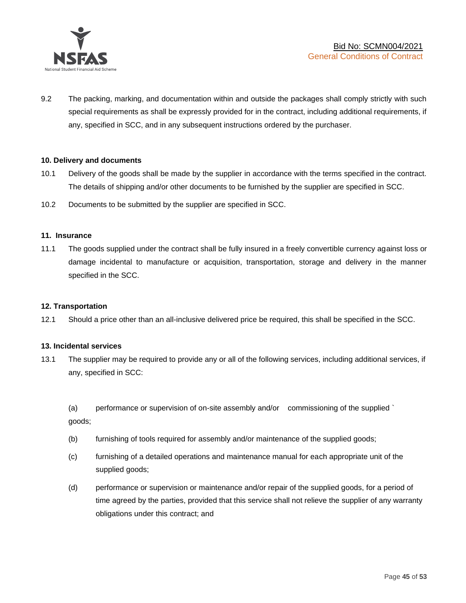

9.2 The packing, marking, and documentation within and outside the packages shall comply strictly with such special requirements as shall be expressly provided for in the contract, including additional requirements, if any, specified in SCC, and in any subsequent instructions ordered by the purchaser.

### **10. Delivery and documents**

- 10.1 Delivery of the goods shall be made by the supplier in accordance with the terms specified in the contract. The details of shipping and/or other documents to be furnished by the supplier are specified in SCC.
- 10.2 Documents to be submitted by the supplier are specified in SCC.

#### **11. Insurance**

11.1 The goods supplied under the contract shall be fully insured in a freely convertible currency against loss or damage incidental to manufacture or acquisition, transportation, storage and delivery in the manner specified in the SCC.

### **12. Transportation**

12.1 Should a price other than an all-inclusive delivered price be required, this shall be specified in the SCC.

#### **13. Incidental services**

13.1 The supplier may be required to provide any or all of the following services, including additional services, if any, specified in SCC:

(a) performance or supervision of on-site assembly and/or commissioning of the supplied ` goods;

- (b) furnishing of tools required for assembly and/or maintenance of the supplied goods;
- (c) furnishing of a detailed operations and maintenance manual for each appropriate unit of the supplied goods;
- (d) performance or supervision or maintenance and/or repair of the supplied goods, for a period of time agreed by the parties, provided that this service shall not relieve the supplier of any warranty obligations under this contract; and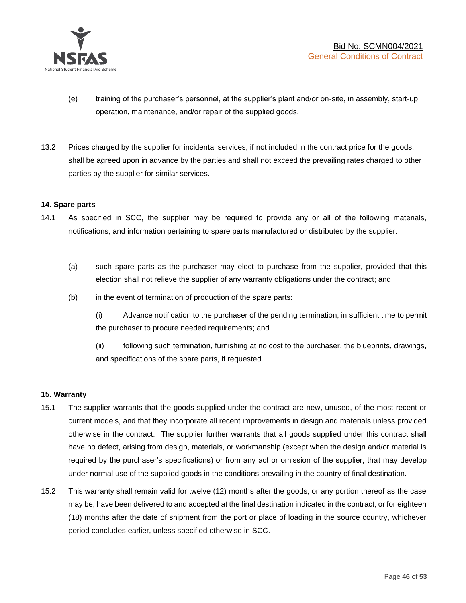

- (e) training of the purchaser's personnel, at the supplier's plant and/or on-site, in assembly, start-up, operation, maintenance, and/or repair of the supplied goods.
- 13.2 Prices charged by the supplier for incidental services, if not included in the contract price for the goods, shall be agreed upon in advance by the parties and shall not exceed the prevailing rates charged to other parties by the supplier for similar services.

### **14. Spare parts**

- 14.1 As specified in SCC, the supplier may be required to provide any or all of the following materials, notifications, and information pertaining to spare parts manufactured or distributed by the supplier:
	- (a) such spare parts as the purchaser may elect to purchase from the supplier, provided that this election shall not relieve the supplier of any warranty obligations under the contract; and
	- (b) in the event of termination of production of the spare parts:

(i) Advance notification to the purchaser of the pending termination, in sufficient time to permit the purchaser to procure needed requirements; and

(ii) following such termination, furnishing at no cost to the purchaser, the blueprints, drawings, and specifications of the spare parts, if requested.

### **15. Warranty**

- 15.1 The supplier warrants that the goods supplied under the contract are new, unused, of the most recent or current models, and that they incorporate all recent improvements in design and materials unless provided otherwise in the contract. The supplier further warrants that all goods supplied under this contract shall have no defect, arising from design, materials, or workmanship (except when the design and/or material is required by the purchaser's specifications) or from any act or omission of the supplier, that may develop under normal use of the supplied goods in the conditions prevailing in the country of final destination.
- 15.2 This warranty shall remain valid for twelve (12) months after the goods, or any portion thereof as the case may be, have been delivered to and accepted at the final destination indicated in the contract, or for eighteen (18) months after the date of shipment from the port or place of loading in the source country, whichever period concludes earlier, unless specified otherwise in SCC.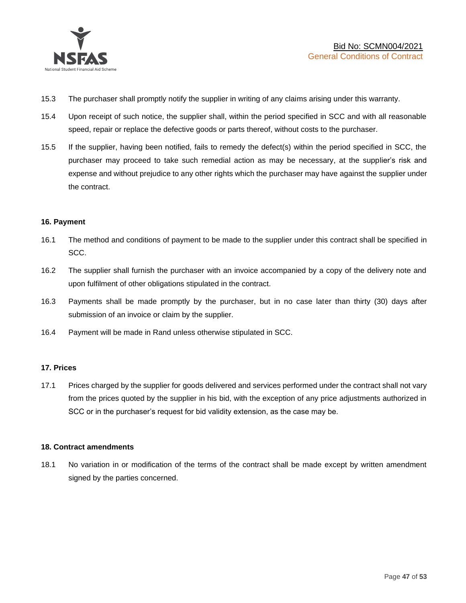

- 15.3 The purchaser shall promptly notify the supplier in writing of any claims arising under this warranty.
- 15.4 Upon receipt of such notice, the supplier shall, within the period specified in SCC and with all reasonable speed, repair or replace the defective goods or parts thereof, without costs to the purchaser.
- 15.5 If the supplier, having been notified, fails to remedy the defect(s) within the period specified in SCC, the purchaser may proceed to take such remedial action as may be necessary, at the supplier's risk and expense and without prejudice to any other rights which the purchaser may have against the supplier under the contract.

### **16. Payment**

- 16.1 The method and conditions of payment to be made to the supplier under this contract shall be specified in SCC.
- 16.2 The supplier shall furnish the purchaser with an invoice accompanied by a copy of the delivery note and upon fulfilment of other obligations stipulated in the contract.
- 16.3 Payments shall be made promptly by the purchaser, but in no case later than thirty (30) days after submission of an invoice or claim by the supplier.
- 16.4 Payment will be made in Rand unless otherwise stipulated in SCC.

### **17. Prices**

17.1 Prices charged by the supplier for goods delivered and services performed under the contract shall not vary from the prices quoted by the supplier in his bid, with the exception of any price adjustments authorized in SCC or in the purchaser's request for bid validity extension, as the case may be.

### **18. Contract amendments**

18.1 No variation in or modification of the terms of the contract shall be made except by written amendment signed by the parties concerned.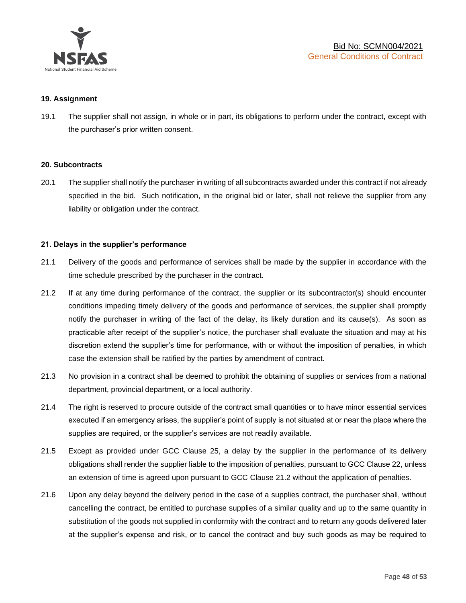

### **19. Assignment**

19.1 The supplier shall not assign, in whole or in part, its obligations to perform under the contract, except with the purchaser's prior written consent.

#### **20. Subcontracts**

20.1 The supplier shall notify the purchaser in writing of all subcontracts awarded under this contract if not already specified in the bid. Such notification, in the original bid or later, shall not relieve the supplier from any liability or obligation under the contract.

### **21. Delays in the supplier's performance**

- 21.1 Delivery of the goods and performance of services shall be made by the supplier in accordance with the time schedule prescribed by the purchaser in the contract.
- 21.2 If at any time during performance of the contract, the supplier or its subcontractor(s) should encounter conditions impeding timely delivery of the goods and performance of services, the supplier shall promptly notify the purchaser in writing of the fact of the delay, its likely duration and its cause(s). As soon as practicable after receipt of the supplier's notice, the purchaser shall evaluate the situation and may at his discretion extend the supplier's time for performance, with or without the imposition of penalties, in which case the extension shall be ratified by the parties by amendment of contract.
- 21.3 No provision in a contract shall be deemed to prohibit the obtaining of supplies or services from a national department, provincial department, or a local authority.
- 21.4 The right is reserved to procure outside of the contract small quantities or to have minor essential services executed if an emergency arises, the supplier's point of supply is not situated at or near the place where the supplies are required, or the supplier's services are not readily available.
- 21.5 Except as provided under GCC Clause 25, a delay by the supplier in the performance of its delivery obligations shall render the supplier liable to the imposition of penalties, pursuant to GCC Clause 22, unless an extension of time is agreed upon pursuant to GCC Clause 21.2 without the application of penalties.
- 21.6 Upon any delay beyond the delivery period in the case of a supplies contract, the purchaser shall, without cancelling the contract, be entitled to purchase supplies of a similar quality and up to the same quantity in substitution of the goods not supplied in conformity with the contract and to return any goods delivered later at the supplier's expense and risk, or to cancel the contract and buy such goods as may be required to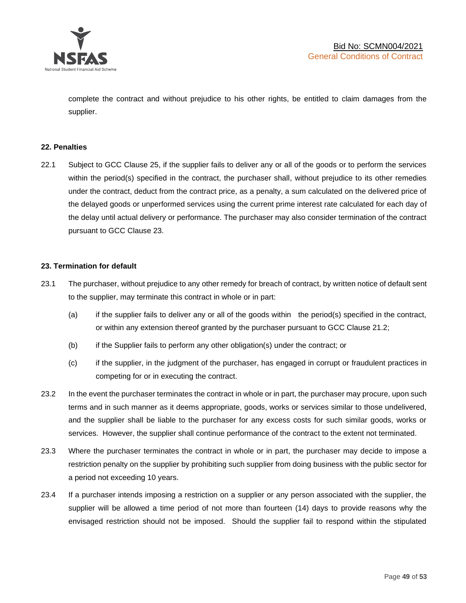

complete the contract and without prejudice to his other rights, be entitled to claim damages from the supplier.

### **22. Penalties**

22.1 Subject to GCC Clause 25, if the supplier fails to deliver any or all of the goods or to perform the services within the period(s) specified in the contract, the purchaser shall, without prejudice to its other remedies under the contract, deduct from the contract price, as a penalty, a sum calculated on the delivered price of the delayed goods or unperformed services using the current prime interest rate calculated for each day of the delay until actual delivery or performance. The purchaser may also consider termination of the contract pursuant to GCC Clause 23.

### **23. Termination for default**

- 23.1 The purchaser, without prejudice to any other remedy for breach of contract, by written notice of default sent to the supplier, may terminate this contract in whole or in part:
	- (a) if the supplier fails to deliver any or all of the goods within the period(s) specified in the contract, or within any extension thereof granted by the purchaser pursuant to GCC Clause 21.2;
	- (b) if the Supplier fails to perform any other obligation(s) under the contract; or
	- (c) if the supplier, in the judgment of the purchaser, has engaged in corrupt or fraudulent practices in competing for or in executing the contract.
- 23.2 In the event the purchaser terminates the contract in whole or in part, the purchaser may procure, upon such terms and in such manner as it deems appropriate, goods, works or services similar to those undelivered, and the supplier shall be liable to the purchaser for any excess costs for such similar goods, works or services. However, the supplier shall continue performance of the contract to the extent not terminated.
- 23.3 Where the purchaser terminates the contract in whole or in part, the purchaser may decide to impose a restriction penalty on the supplier by prohibiting such supplier from doing business with the public sector for a period not exceeding 10 years.
- 23.4 If a purchaser intends imposing a restriction on a supplier or any person associated with the supplier, the supplier will be allowed a time period of not more than fourteen (14) days to provide reasons why the envisaged restriction should not be imposed. Should the supplier fail to respond within the stipulated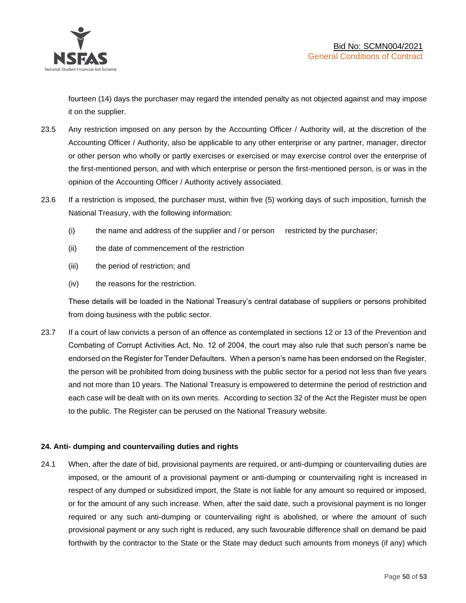

fourteen (14) days the purchaser may regard the intended penalty as not objected against and may impose it on the supplier.

- 23.5 Any restriction imposed on any person by the Accounting Officer / Authority will, at the discretion of the Accounting Officer / Authority, also be applicable to any other enterprise or any partner, manager, director or other person who wholly or partly exercises or exercised or may exercise control over the enterprise of the first-mentioned person, and with which enterprise or person the first-mentioned person, is or was in the opinion of the Accounting Officer / Authority actively associated.
- 23.6 If a restriction is imposed, the purchaser must, within five (5) working days of such imposition, furnish the National Treasury, with the following information:
	- (i) the name and address of the supplier and / or person restricted by the purchaser;
	- (ii) the date of commencement of the restriction
	- (iii) the period of restriction; and
	- (iv) the reasons for the restriction.

These details will be loaded in the National Treasury's central database of suppliers or persons prohibited from doing business with the public sector.

23.7 If a court of law convicts a person of an offence as contemplated in sections 12 or 13 of the Prevention and Combating of Corrupt Activities Act, No. 12 of 2004, the court may also rule that such person's name be endorsed on the Register for Tender Defaulters. When a person's name has been endorsed on the Register, the person will be prohibited from doing business with the public sector for a period not less than five years and not more than 10 years. The National Treasury is empowered to determine the period of restriction and each case will be dealt with on its own merits. According to section 32 of the Act the Register must be open to the public. The Register can be perused on the National Treasury website.

### **24. Anti- dumping and countervailing duties and rights**

24.1 When, after the date of bid, provisional payments are required, or anti-dumping or countervailing duties are imposed, or the amount of a provisional payment or anti-dumping or countervailing right is increased in respect of any dumped or subsidized import, the State is not liable for any amount so required or imposed, or for the amount of any such increase. When, after the said date, such a provisional payment is no longer required or any such anti-dumping or countervailing right is abolished, or where the amount of such provisional payment or any such right is reduced, any such favourable difference shall on demand be paid forthwith by the contractor to the State or the State may deduct such amounts from moneys (if any) which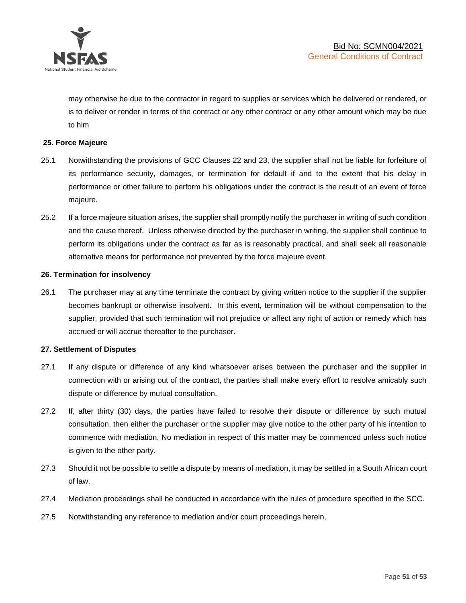

may otherwise be due to the contractor in regard to supplies or services which he delivered or rendered, or is to deliver or render in terms of the contract or any other contract or any other amount which may be due to him

### **25. Force Majeure**

- 25.1 Notwithstanding the provisions of GCC Clauses 22 and 23, the supplier shall not be liable for forfeiture of its performance security, damages, or termination for default if and to the extent that his delay in performance or other failure to perform his obligations under the contract is the result of an event of force majeure.
- 25.2 If a force majeure situation arises, the supplier shall promptly notify the purchaser in writing of such condition and the cause thereof. Unless otherwise directed by the purchaser in writing, the supplier shall continue to perform its obligations under the contract as far as is reasonably practical, and shall seek all reasonable alternative means for performance not prevented by the force majeure event.

#### **26. Termination for insolvency**

26.1 The purchaser may at any time terminate the contract by giving written notice to the supplier if the supplier becomes bankrupt or otherwise insolvent. In this event, termination will be without compensation to the supplier, provided that such termination will not prejudice or affect any right of action or remedy which has accrued or will accrue thereafter to the purchaser.

#### **27. Settlement of Disputes**

- 27.1 If any dispute or difference of any kind whatsoever arises between the purchaser and the supplier in connection with or arising out of the contract, the parties shall make every effort to resolve amicably such dispute or difference by mutual consultation.
- 27.2 If, after thirty (30) days, the parties have failed to resolve their dispute or difference by such mutual consultation, then either the purchaser or the supplier may give notice to the other party of his intention to commence with mediation. No mediation in respect of this matter may be commenced unless such notice is given to the other party.
- 27.3 Should it not be possible to settle a dispute by means of mediation, it may be settled in a South African court of law.
- 27.4 Mediation proceedings shall be conducted in accordance with the rules of procedure specified in the SCC.
- 27.5 Notwithstanding any reference to mediation and/or court proceedings herein,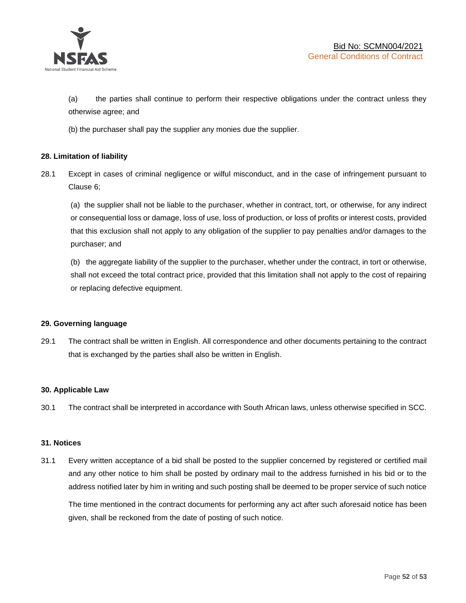

(a) the parties shall continue to perform their respective obligations under the contract unless they otherwise agree; and

(b) the purchaser shall pay the supplier any monies due the supplier.

### **28. Limitation of liability**

28.1 Except in cases of criminal negligence or wilful misconduct, and in the case of infringement pursuant to Clause 6;

(a) the supplier shall not be liable to the purchaser, whether in contract, tort, or otherwise, for any indirect or consequential loss or damage, loss of use, loss of production, or loss of profits or interest costs, provided that this exclusion shall not apply to any obligation of the supplier to pay penalties and/or damages to the purchaser; and

(b) the aggregate liability of the supplier to the purchaser, whether under the contract, in tort or otherwise, shall not exceed the total contract price, provided that this limitation shall not apply to the cost of repairing or replacing defective equipment.

### **29. Governing language**

29.1 The contract shall be written in English. All correspondence and other documents pertaining to the contract that is exchanged by the parties shall also be written in English.

### **30. Applicable Law**

30.1 The contract shall be interpreted in accordance with South African laws, unless otherwise specified in SCC.

### **31. Notices**

31.1 Every written acceptance of a bid shall be posted to the supplier concerned by registered or certified mail and any other notice to him shall be posted by ordinary mail to the address furnished in his bid or to the address notified later by him in writing and such posting shall be deemed to be proper service of such notice

The time mentioned in the contract documents for performing any act after such aforesaid notice has been given, shall be reckoned from the date of posting of such notice.